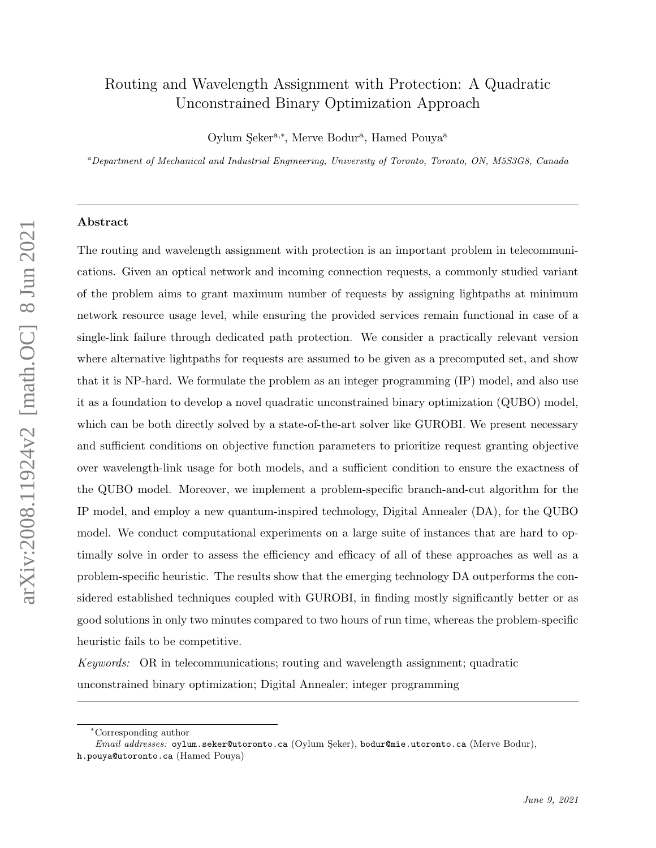# Routing and Wavelength Assignment with Protection: A Quadratic Unconstrained Binary Optimization Approach

Oylum Şeker<sup>a,∗</sup>, Merve Bodur<sup>a</sup>, Hamed Pouya<sup>a</sup>

 $a<sup>a</sup> Department of Mechanical and Industrial Engineering, University of Toronto, Toronto, ON, M5S3G8, Canada$ 

#### Abstract

The routing and wavelength assignment with protection is an important problem in telecommunications. Given an optical network and incoming connection requests, a commonly studied variant of the problem aims to grant maximum number of requests by assigning lightpaths at minimum network resource usage level, while ensuring the provided services remain functional in case of a single-link failure through dedicated path protection. We consider a practically relevant version where alternative lightpaths for requests are assumed to be given as a precomputed set, and show that it is NP-hard. We formulate the problem as an integer programming (IP) model, and also use it as a foundation to develop a novel quadratic unconstrained binary optimization (QUBO) model, which can be both directly solved by a state-of-the-art solver like GUROBI. We present necessary and sufficient conditions on objective function parameters to prioritize request granting objective over wavelength-link usage for both models, and a sufficient condition to ensure the exactness of the QUBO model. Moreover, we implement a problem-specific branch-and-cut algorithm for the IP model, and employ a new quantum-inspired technology, Digital Annealer (DA), for the QUBO model. We conduct computational experiments on a large suite of instances that are hard to optimally solve in order to assess the efficiency and efficacy of all of these approaches as well as a problem-specific heuristic. The results show that the emerging technology DA outperforms the considered established techniques coupled with GUROBI, in finding mostly significantly better or as good solutions in only two minutes compared to two hours of run time, whereas the problem-specific heuristic fails to be competitive.

Keywords: OR in telecommunications; routing and wavelength assignment; quadratic unconstrained binary optimization; Digital Annealer; integer programming

<sup>∗</sup>Corresponding author

Email addresses: oylum.seker@utoronto.ca (Oylum Şeker), bodur@mie.utoronto.ca (Merve Bodur), h.pouya@utoronto.ca (Hamed Pouya)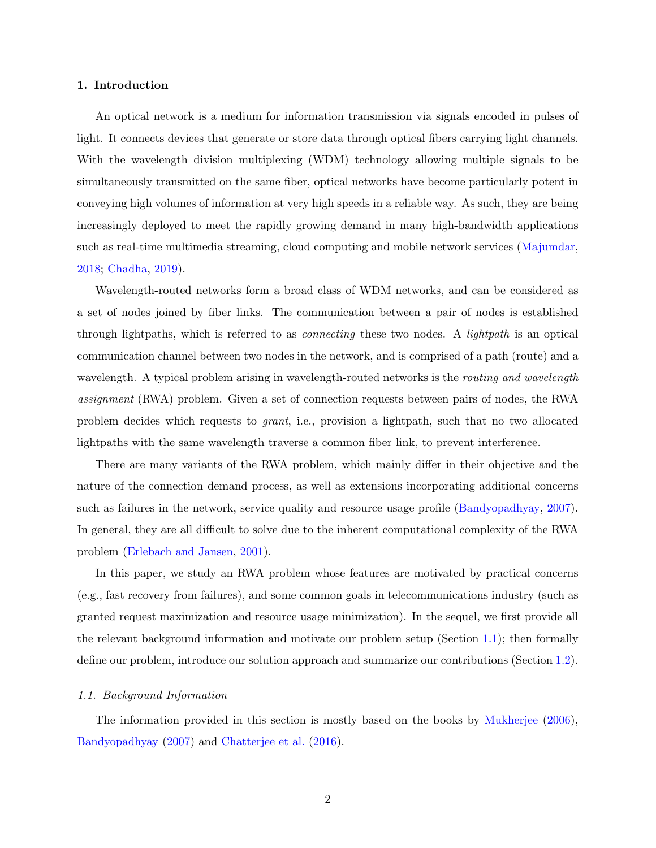## 1. Introduction

An optical network is a medium for information transmission via signals encoded in pulses of light. It connects devices that generate or store data through optical fibers carrying light channels. With the wavelength division multiplexing (WDM) technology allowing multiple signals to be simultaneously transmitted on the same fiber, optical networks have become particularly potent in conveying high volumes of information at very high speeds in a reliable way. As such, they are being increasingly deployed to meet the rapidly growing demand in many high-bandwidth applications such as real-time multimedia streaming, cloud computing and mobile network services [\(Majumdar,](#page-30-0) [2018;](#page-30-0) [Chadha,](#page-28-0) [2019\)](#page-28-0).

Wavelength-routed networks form a broad class of WDM networks, and can be considered as a set of nodes joined by fiber links. The communication between a pair of nodes is established through lightpaths, which is referred to as connecting these two nodes. A lightpath is an optical communication channel between two nodes in the network, and is comprised of a path (route) and a wavelength. A typical problem arising in wavelength-routed networks is the *routing and wavelength* assignment (RWA) problem. Given a set of connection requests between pairs of nodes, the RWA problem decides which requests to grant, i.e., provision a lightpath, such that no two allocated lightpaths with the same wavelength traverse a common fiber link, to prevent interference.

There are many variants of the RWA problem, which mainly differ in their objective and the nature of the connection demand process, as well as extensions incorporating additional concerns such as failures in the network, service quality and resource usage profile [\(Bandyopadhyay,](#page-28-1) [2007\)](#page-28-1). In general, they are all difficult to solve due to the inherent computational complexity of the RWA problem [\(Erlebach and Jansen,](#page-28-2) [2001\)](#page-28-2).

In this paper, we study an RWA problem whose features are motivated by practical concerns (e.g., fast recovery from failures), and some common goals in telecommunications industry (such as granted request maximization and resource usage minimization). In the sequel, we first provide all the relevant background information and motivate our problem setup (Section [1.1\)](#page-1-0); then formally define our problem, introduce our solution approach and summarize our contributions (Section [1.2\)](#page-3-0).

## <span id="page-1-0"></span>1.1. Background Information

The information provided in this section is mostly based on the books by [Mukherjee](#page-30-1) [\(2006\)](#page-30-1), [Bandyopadhyay](#page-28-1) [\(2007\)](#page-28-1) and [Chatterjee et al.](#page-28-3) [\(2016\)](#page-28-3).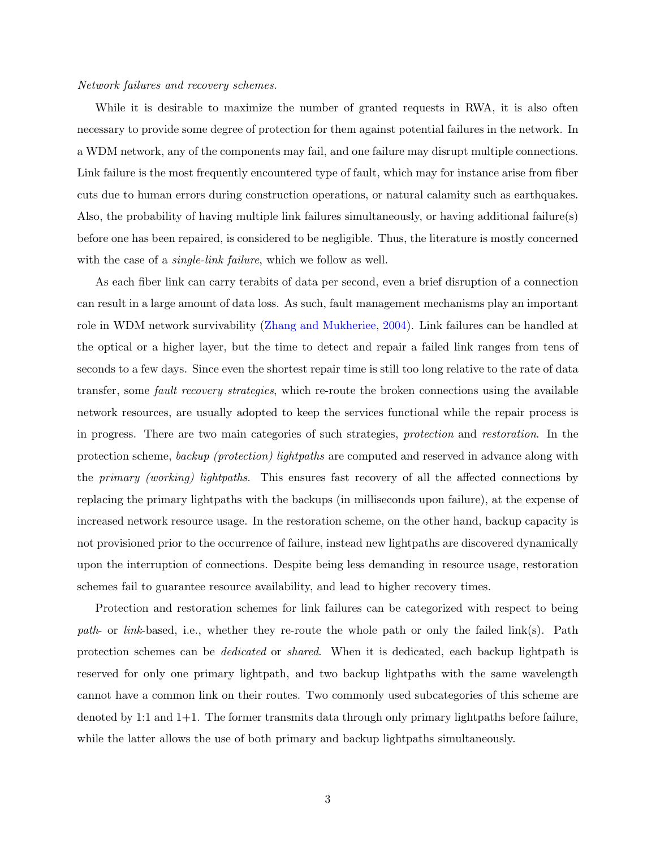#### Network failures and recovery schemes.

While it is desirable to maximize the number of granted requests in RWA, it is also often necessary to provide some degree of protection for them against potential failures in the network. In a WDM network, any of the components may fail, and one failure may disrupt multiple connections. Link failure is the most frequently encountered type of fault, which may for instance arise from fiber cuts due to human errors during construction operations, or natural calamity such as earthquakes. Also, the probability of having multiple link failures simultaneously, or having additional failure(s) before one has been repaired, is considered to be negligible. Thus, the literature is mostly concerned with the case of a *single-link failure*, which we follow as well.

As each fiber link can carry terabits of data per second, even a brief disruption of a connection can result in a large amount of data loss. As such, fault management mechanisms play an important role in WDM network survivability [\(Zhang and Mukheriee,](#page-31-0) [2004\)](#page-31-0). Link failures can be handled at the optical or a higher layer, but the time to detect and repair a failed link ranges from tens of seconds to a few days. Since even the shortest repair time is still too long relative to the rate of data transfer, some fault recovery strategies, which re-route the broken connections using the available network resources, are usually adopted to keep the services functional while the repair process is in progress. There are two main categories of such strategies, protection and restoration. In the protection scheme, backup (protection) lightpaths are computed and reserved in advance along with the primary (working) lightpaths. This ensures fast recovery of all the affected connections by replacing the primary lightpaths with the backups (in milliseconds upon failure), at the expense of increased network resource usage. In the restoration scheme, on the other hand, backup capacity is not provisioned prior to the occurrence of failure, instead new lightpaths are discovered dynamically upon the interruption of connections. Despite being less demanding in resource usage, restoration schemes fail to guarantee resource availability, and lead to higher recovery times.

Protection and restoration schemes for link failures can be categorized with respect to being path- or link-based, i.e., whether they re-route the whole path or only the failed link(s). Path protection schemes can be dedicated or shared. When it is dedicated, each backup lightpath is reserved for only one primary lightpath, and two backup lightpaths with the same wavelength cannot have a common link on their routes. Two commonly used subcategories of this scheme are denoted by 1:1 and 1+1. The former transmits data through only primary lightpaths before failure, while the latter allows the use of both primary and backup lightpaths simultaneously.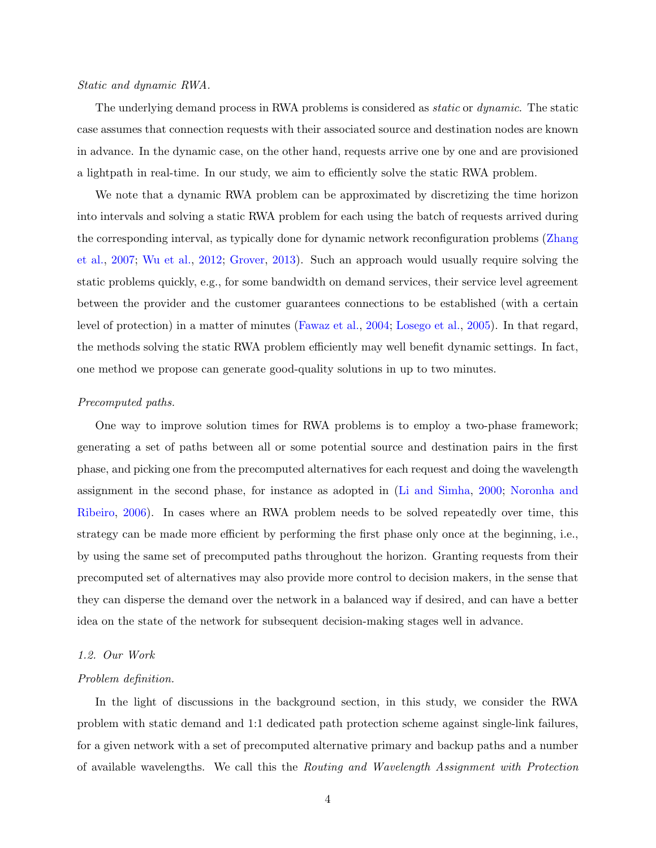## Static and dynamic RWA.

The underlying demand process in RWA problems is considered as *static* or *dynamic*. The static case assumes that connection requests with their associated source and destination nodes are known in advance. In the dynamic case, on the other hand, requests arrive one by one and are provisioned a lightpath in real-time. In our study, we aim to efficiently solve the static RWA problem.

We note that a dynamic RWA problem can be approximated by discretizing the time horizon into intervals and solving a static RWA problem for each using the batch of requests arrived during the corresponding interval, as typically done for dynamic network reconfiguration problems [\(Zhang](#page-31-1) [et al.,](#page-31-1) [2007;](#page-31-1) [Wu et al.,](#page-31-2) [2012;](#page-31-2) [Grover,](#page-29-0) [2013\)](#page-29-0). Such an approach would usually require solving the static problems quickly, e.g., for some bandwidth on demand services, their service level agreement between the provider and the customer guarantees connections to be established (with a certain level of protection) in a matter of minutes [\(Fawaz et al.,](#page-29-1) [2004;](#page-29-1) [Losego et al.,](#page-30-2) [2005\)](#page-30-2). In that regard, the methods solving the static RWA problem efficiently may well benefit dynamic settings. In fact, one method we propose can generate good-quality solutions in up to two minutes.

#### Precomputed paths.

One way to improve solution times for RWA problems is to employ a two-phase framework; generating a set of paths between all or some potential source and destination pairs in the first phase, and picking one from the precomputed alternatives for each request and doing the wavelength assignment in the second phase, for instance as adopted in [\(Li and Simha,](#page-30-3) [2000;](#page-30-3) [Noronha and](#page-30-4) [Ribeiro,](#page-30-4) [2006\)](#page-30-4). In cases where an RWA problem needs to be solved repeatedly over time, this strategy can be made more efficient by performing the first phase only once at the beginning, i.e., by using the same set of precomputed paths throughout the horizon. Granting requests from their precomputed set of alternatives may also provide more control to decision makers, in the sense that they can disperse the demand over the network in a balanced way if desired, and can have a better idea on the state of the network for subsequent decision-making stages well in advance.

# <span id="page-3-0"></span>1.2. Our Work

#### Problem definition.

In the light of discussions in the background section, in this study, we consider the RWA problem with static demand and 1:1 dedicated path protection scheme against single-link failures, for a given network with a set of precomputed alternative primary and backup paths and a number of available wavelengths. We call this the Routing and Wavelength Assignment with Protection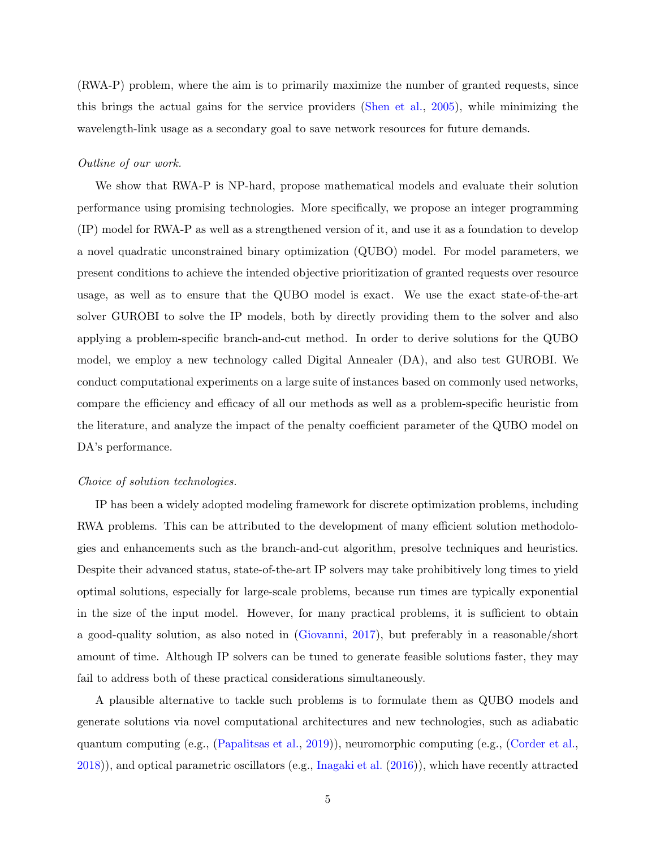(RWA-P) problem, where the aim is to primarily maximize the number of granted requests, since this brings the actual gains for the service providers [\(Shen et al.,](#page-31-3) [2005\)](#page-31-3), while minimizing the wavelength-link usage as a secondary goal to save network resources for future demands.

# Outline of our work.

We show that RWA-P is NP-hard, propose mathematical models and evaluate their solution performance using promising technologies. More specifically, we propose an integer programming (IP) model for RWA-P as well as a strengthened version of it, and use it as a foundation to develop a novel quadratic unconstrained binary optimization (QUBO) model. For model parameters, we present conditions to achieve the intended objective prioritization of granted requests over resource usage, as well as to ensure that the QUBO model is exact. We use the exact state-of-the-art solver GUROBI to solve the IP models, both by directly providing them to the solver and also applying a problem-specific branch-and-cut method. In order to derive solutions for the QUBO model, we employ a new technology called Digital Annealer (DA), and also test GUROBI. We conduct computational experiments on a large suite of instances based on commonly used networks, compare the efficiency and efficacy of all our methods as well as a problem-specific heuristic from the literature, and analyze the impact of the penalty coefficient parameter of the QUBO model on DA's performance.

### Choice of solution technologies.

IP has been a widely adopted modeling framework for discrete optimization problems, including RWA problems. This can be attributed to the development of many efficient solution methodologies and enhancements such as the branch-and-cut algorithm, presolve techniques and heuristics. Despite their advanced status, state-of-the-art IP solvers may take prohibitively long times to yield optimal solutions, especially for large-scale problems, because run times are typically exponential in the size of the input model. However, for many practical problems, it is sufficient to obtain a good-quality solution, as also noted in [\(Giovanni,](#page-29-2) [2017\)](#page-29-2), but preferably in a reasonable/short amount of time. Although IP solvers can be tuned to generate feasible solutions faster, they may fail to address both of these practical considerations simultaneously.

A plausible alternative to tackle such problems is to formulate them as QUBO models and generate solutions via novel computational architectures and new technologies, such as adiabatic quantum computing (e.g., [\(Papalitsas et al.,](#page-31-4) [2019\)](#page-31-4)), neuromorphic computing (e.g., [\(Corder et al.,](#page-28-4) [2018\)](#page-28-4)), and optical parametric oscillators (e.g., [Inagaki et al.](#page-29-3) [\(2016\)](#page-29-3)), which have recently attracted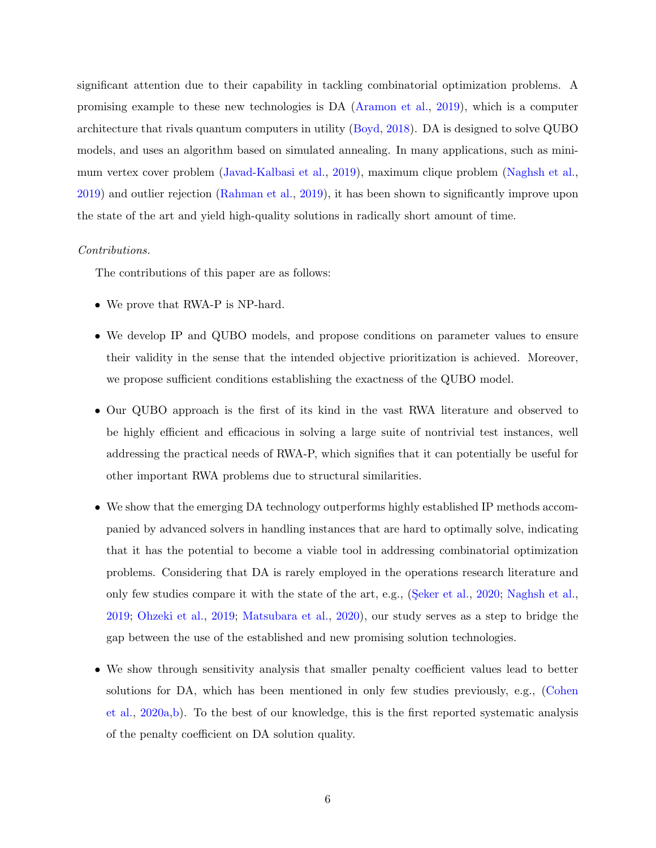significant attention due to their capability in tackling combinatorial optimization problems. A promising example to these new technologies is DA [\(Aramon et al.,](#page-28-5) [2019\)](#page-28-5), which is a computer architecture that rivals quantum computers in utility [\(Boyd,](#page-28-6) [2018\)](#page-28-6). DA is designed to solve QUBO models, and uses an algorithm based on simulated annealing. In many applications, such as minimum vertex cover problem [\(Javad-Kalbasi et al.,](#page-30-5) [2019\)](#page-30-5), maximum clique problem [\(Naghsh et al.,](#page-30-6) [2019\)](#page-30-6) and outlier rejection [\(Rahman et al.,](#page-31-5) [2019\)](#page-31-5), it has been shown to significantly improve upon the state of the art and yield high-quality solutions in radically short amount of time.

### Contributions.

The contributions of this paper are as follows:

- We prove that RWA-P is NP-hard.
- We develop IP and QUBO models, and propose conditions on parameter values to ensure their validity in the sense that the intended objective prioritization is achieved. Moreover, we propose sufficient conditions establishing the exactness of the QUBO model.
- Our QUBO approach is the first of its kind in the vast RWA literature and observed to be highly efficient and efficacious in solving a large suite of nontrivial test instances, well addressing the practical needs of RWA-P, which signifies that it can potentially be useful for other important RWA problems due to structural similarities.
- We show that the emerging DA technology outperforms highly established IP methods accompanied by advanced solvers in handling instances that are hard to optimally solve, indicating that it has the potential to become a viable tool in addressing combinatorial optimization problems. Considering that DA is rarely employed in the operations research literature and only few studies compare it with the state of the art, e.g., (Seker et al., [2020;](#page-31-6) [Naghsh et al.,](#page-30-6) [2019;](#page-30-6) [Ohzeki et al.,](#page-31-7) [2019;](#page-31-7) [Matsubara et al.,](#page-30-7) [2020\)](#page-30-7), our study serves as a step to bridge the gap between the use of the established and new promising solution technologies.
- We show through sensitivity analysis that smaller penalty coefficient values lead to better solutions for DA, which has been mentioned in only few studies previously, e.g., [\(Cohen](#page-28-7) [et al.,](#page-28-7) [2020a](#page-28-7)[,b\)](#page-28-8). To the best of our knowledge, this is the first reported systematic analysis of the penalty coefficient on DA solution quality.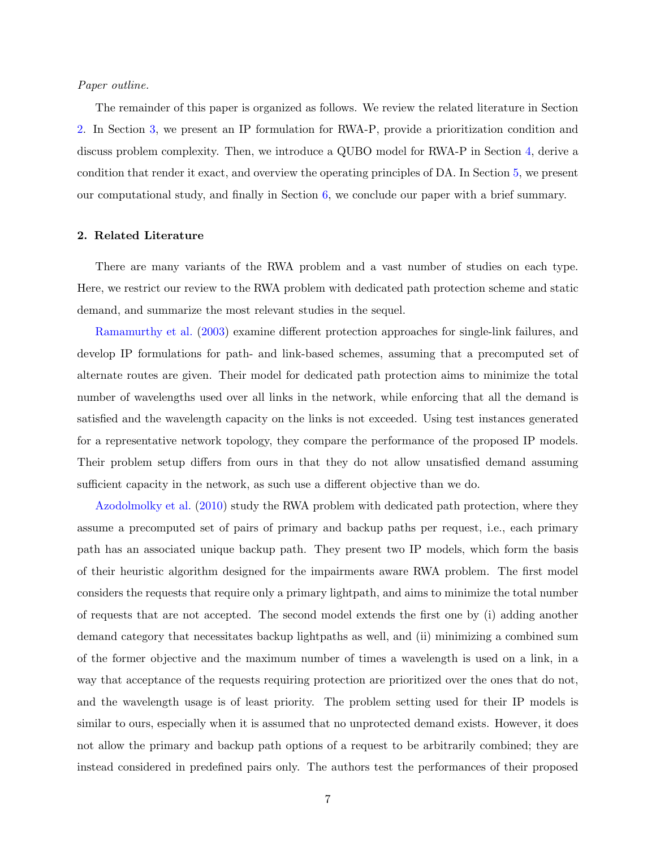## Paper outline.

The remainder of this paper is organized as follows. We review the related literature in Section [2.](#page-6-0) In Section [3,](#page-7-0) we present an IP formulation for RWA-P, provide a prioritization condition and discuss problem complexity. Then, we introduce a QUBO model for RWA-P in Section [4,](#page-14-0) derive a condition that render it exact, and overview the operating principles of DA. In Section [5,](#page-19-0) we present our computational study, and finally in Section [6,](#page-27-0) we conclude our paper with a brief summary.

# <span id="page-6-0"></span>2. Related Literature

There are many variants of the RWA problem and a vast number of studies on each type. Here, we restrict our review to the RWA problem with dedicated path protection scheme and static demand, and summarize the most relevant studies in the sequel.

[Ramamurthy et al.](#page-31-8) [\(2003\)](#page-31-8) examine different protection approaches for single-link failures, and develop IP formulations for path- and link-based schemes, assuming that a precomputed set of alternate routes are given. Their model for dedicated path protection aims to minimize the total number of wavelengths used over all links in the network, while enforcing that all the demand is satisfied and the wavelength capacity on the links is not exceeded. Using test instances generated for a representative network topology, they compare the performance of the proposed IP models. Their problem setup differs from ours in that they do not allow unsatisfied demand assuming sufficient capacity in the network, as such use a different objective than we do.

[Azodolmolky et al.](#page-28-9) [\(2010\)](#page-28-9) study the RWA problem with dedicated path protection, where they assume a precomputed set of pairs of primary and backup paths per request, i.e., each primary path has an associated unique backup path. They present two IP models, which form the basis of their heuristic algorithm designed for the impairments aware RWA problem. The first model considers the requests that require only a primary lightpath, and aims to minimize the total number of requests that are not accepted. The second model extends the first one by (i) adding another demand category that necessitates backup lightpaths as well, and (ii) minimizing a combined sum of the former objective and the maximum number of times a wavelength is used on a link, in a way that acceptance of the requests requiring protection are prioritized over the ones that do not, and the wavelength usage is of least priority. The problem setting used for their IP models is similar to ours, especially when it is assumed that no unprotected demand exists. However, it does not allow the primary and backup path options of a request to be arbitrarily combined; they are instead considered in predefined pairs only. The authors test the performances of their proposed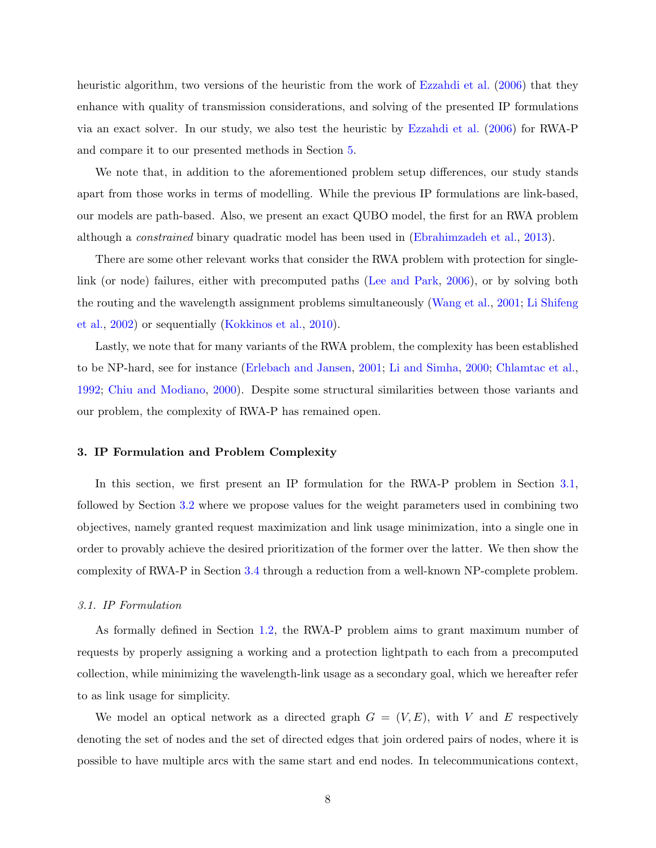heuristic algorithm, two versions of the heuristic from the work of [Ezzahdi et al.](#page-29-4) [\(2006\)](#page-29-4) that they enhance with quality of transmission considerations, and solving of the presented IP formulations via an exact solver. In our study, we also test the heuristic by [Ezzahdi et al.](#page-29-4) [\(2006\)](#page-29-4) for RWA-P and compare it to our presented methods in Section [5.](#page-19-0)

We note that, in addition to the aforementioned problem setup differences, our study stands apart from those works in terms of modelling. While the previous IP formulations are link-based, our models are path-based. Also, we present an exact QUBO model, the first for an RWA problem although a constrained binary quadratic model has been used in [\(Ebrahimzadeh et al.,](#page-28-10) [2013\)](#page-28-10).

There are some other relevant works that consider the RWA problem with protection for singlelink (or node) failures, either with precomputed paths [\(Lee and Park,](#page-30-8) [2006\)](#page-30-8), or by solving both the routing and the wavelength assignment problems simultaneously [\(Wang et al.,](#page-31-9) [2001;](#page-31-9) [Li Shifeng](#page-30-9) [et al.,](#page-30-9) [2002\)](#page-30-9) or sequentially [\(Kokkinos et al.,](#page-30-10) [2010\)](#page-30-10).

Lastly, we note that for many variants of the RWA problem, the complexity has been established to be NP-hard, see for instance [\(Erlebach and Jansen,](#page-28-2) [2001;](#page-28-2) [Li and Simha,](#page-30-3) [2000;](#page-30-3) [Chlamtac et al.,](#page-28-11) [1992;](#page-28-11) [Chiu and Modiano,](#page-28-12) [2000\)](#page-28-12). Despite some structural similarities between those variants and our problem, the complexity of RWA-P has remained open.

## <span id="page-7-0"></span>3. IP Formulation and Problem Complexity

In this section, we first present an IP formulation for the RWA-P problem in Section [3.1,](#page-7-1) followed by Section [3.2](#page-10-0) where we propose values for the weight parameters used in combining two objectives, namely granted request maximization and link usage minimization, into a single one in order to provably achieve the desired prioritization of the former over the latter. We then show the complexity of RWA-P in Section [3.4](#page-13-0) through a reduction from a well-known NP-complete problem.

## <span id="page-7-1"></span>3.1. IP Formulation

As formally defined in Section [1.2,](#page-3-0) the RWA-P problem aims to grant maximum number of requests by properly assigning a working and a protection lightpath to each from a precomputed collection, while minimizing the wavelength-link usage as a secondary goal, which we hereafter refer to as link usage for simplicity.

We model an optical network as a directed graph  $G = (V, E)$ , with V and E respectively denoting the set of nodes and the set of directed edges that join ordered pairs of nodes, where it is possible to have multiple arcs with the same start and end nodes. In telecommunications context,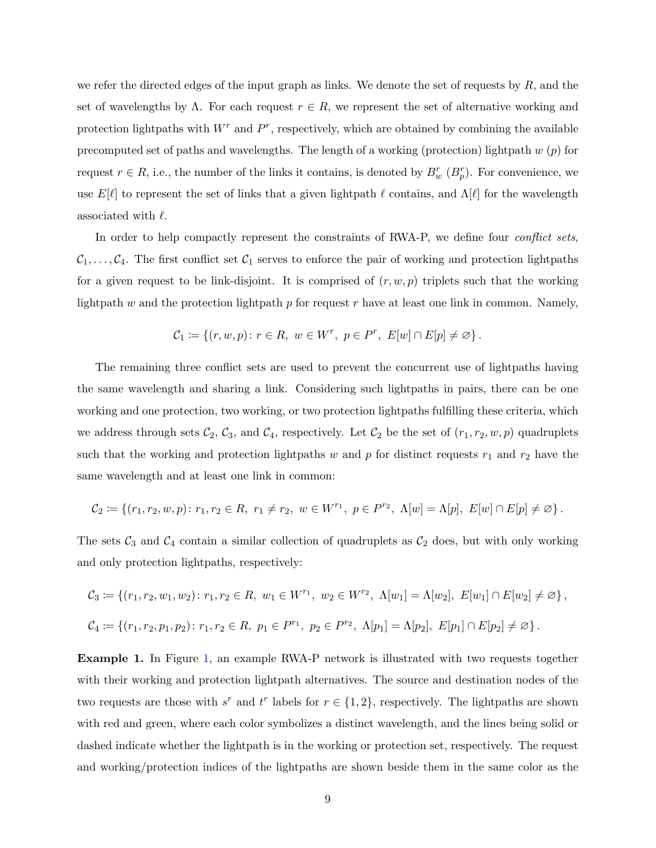we refer the directed edges of the input graph as links. We denote the set of requests by  $R$ , and the set of wavelengths by  $\Lambda$ . For each request  $r \in R$ , we represent the set of alternative working and protection lightpaths with  $W<sup>r</sup>$  and  $P<sup>r</sup>$ , respectively, which are obtained by combining the available precomputed set of paths and wavelengths. The length of a working (protection) lightpath  $w(p)$  for request  $r \in R$ , i.e., the number of the links it contains, is denoted by  $B_w^r$   $(B_p^r)$ . For convenience, we use  $E[\ell]$  to represent the set of links that a given lightpath  $\ell$  contains, and  $\Lambda[\ell]$  for the wavelength associated with  $\ell$ .

In order to help compactly represent the constraints of RWA-P, we define four *conflict sets*,  $C_1, \ldots, C_4$ . The first conflict set  $C_1$  serves to enforce the pair of working and protection lightpaths for a given request to be link-disjoint. It is comprised of  $(r, w, p)$  triplets such that the working lightpath w and the protection lightpath p for request r have at least one link in common. Namely,

$$
\mathcal{C}_1 \coloneqq \{(r, w, p) \colon r \in R, \ w \in W^r, \ p \in P^r, \ E[w] \cap E[p] \neq \varnothing \}.
$$

The remaining three conflict sets are used to prevent the concurrent use of lightpaths having the same wavelength and sharing a link. Considering such lightpaths in pairs, there can be one working and one protection, two working, or two protection lightpaths fulfilling these criteria, which we address through sets  $C_2$ ,  $C_3$ , and  $C_4$ , respectively. Let  $C_2$  be the set of  $(r_1, r_2, w, p)$  quadruplets such that the working and protection lightpaths w and p for distinct requests  $r_1$  and  $r_2$  have the same wavelength and at least one link in common:

$$
\mathcal{C}_2 \coloneqq \{ (r_1, r_2, w, p) \colon r_1, r_2 \in R, \ r_1 \neq r_2, \ w \in W^{r_1}, \ p \in P^{r_2}, \ \Lambda[w] = \Lambda[p], \ E[w] \cap E[p] \neq \varnothing \}.
$$

The sets  $C_3$  and  $C_4$  contain a similar collection of quadruplets as  $C_2$  does, but with only working and only protection lightpaths, respectively:

$$
C_3 \coloneqq \{ (r_1, r_2, w_1, w_2) : r_1, r_2 \in R, w_1 \in W^{r_1}, w_2 \in W^{r_2}, \Lambda[w_1] = \Lambda[w_2], E[w_1] \cap E[w_2] \neq \emptyset \},
$$
  

$$
C_4 \coloneqq \{ (r_1, r_2, p_1, p_2) : r_1, r_2 \in R, p_1 \in P^{r_1}, p_2 \in P^{r_2}, \Lambda[p_1] = \Lambda[p_2], E[p_1] \cap E[p_2] \neq \emptyset \}.
$$

Example 1. In Figure [1,](#page-9-0) an example RWA-P network is illustrated with two requests together with their working and protection lightpath alternatives. The source and destination nodes of the two requests are those with  $s^r$  and  $t^r$  labels for  $r \in \{1, 2\}$ , respectively. The lightpaths are shown with red and green, where each color symbolizes a distinct wavelength, and the lines being solid or dashed indicate whether the lightpath is in the working or protection set, respectively. The request and working/protection indices of the lightpaths are shown beside them in the same color as the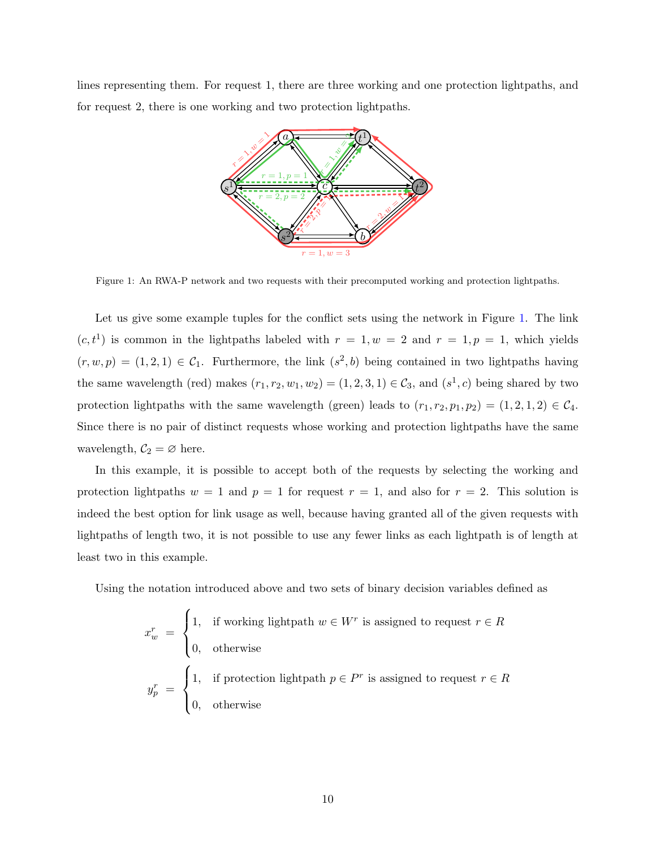<span id="page-9-0"></span>lines representing them. For request 1, there are three working and one protection lightpaths, and for request 2, there is one working and two protection lightpaths.



Figure 1: An RWA-P network and two requests with their precomputed working and protection lightpaths.

Let us give some example tuples for the conflict sets using the network in Figure [1.](#page-9-0) The link  $(c, t<sup>1</sup>)$  is common in the lightpaths labeled with  $r = 1, w = 2$  and  $r = 1, p = 1$ , which yields  $(r, w, p) = (1, 2, 1) \in C_1$ . Furthermore, the link  $(s^2, b)$  being contained in two lightpaths having the same wavelength (red) makes  $(r_1, r_2, w_1, w_2) = (1, 2, 3, 1) \in C_3$ , and  $(s^1, c)$  being shared by two protection lightpaths with the same wavelength (green) leads to  $(r_1, r_2, p_1, p_2) = (1, 2, 1, 2) \in C_4$ . Since there is no pair of distinct requests whose working and protection lightpaths have the same wavelength,  $C_2 = \emptyset$  here.

In this example, it is possible to accept both of the requests by selecting the working and protection lightpaths  $w = 1$  and  $p = 1$  for request  $r = 1$ , and also for  $r = 2$ . This solution is indeed the best option for link usage as well, because having granted all of the given requests with lightpaths of length two, it is not possible to use any fewer links as each lightpath is of length at least two in this example.

Using the notation introduced above and two sets of binary decision variables defined as

$$
x_w^r = \begin{cases} 1, & \text{if working lightpath } w \in W^r \text{ is assigned to request } r \in R \\ 0, & \text{otherwise} \end{cases}
$$
\n
$$
y_p^r = \begin{cases} 1, & \text{if protection lightpath } p \in P^r \text{ is assigned to request } r \in R \\ 0, & \text{otherwise} \end{cases}
$$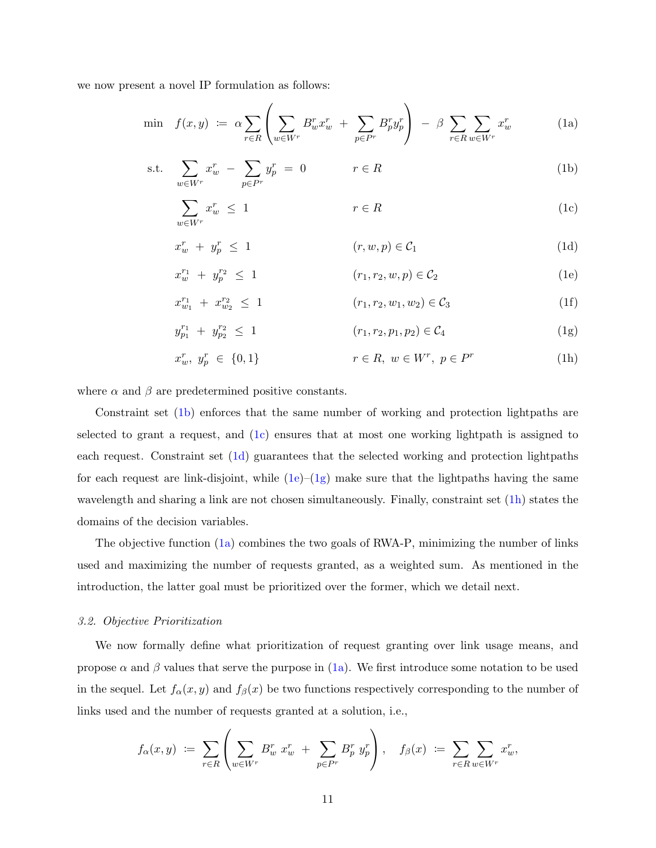we now present a novel IP formulation as follows:

<span id="page-10-8"></span>
$$
\min f(x,y) \coloneqq \alpha \sum_{r \in R} \left( \sum_{w \in W^r} B_w^r x_w^r + \sum_{p \in P^r} B_p^r y_p^r \right) - \beta \sum_{r \in R} \sum_{w \in W^r} x_w^r \tag{1a}
$$

$$
\text{s.t.} \quad \sum_{w \in W^r} x_w^r \ - \ \sum_{p \in P^r} y_p^r \ = \ 0 \qquad \qquad r \in R \tag{1b}
$$

<span id="page-10-7"></span><span id="page-10-2"></span><span id="page-10-1"></span>
$$
\sum_{w \in W^r} x_w^r \le 1 \qquad \qquad r \in R \tag{1c}
$$

<span id="page-10-3"></span>
$$
x_w^r + y_p^r \le 1 \qquad (r, w, p) \in \mathcal{C}_1 \tag{1d}
$$

<span id="page-10-4"></span>
$$
x_w^{r_1} + y_p^{r_2} \le 1 \qquad (r_1, r_2, w, p) \in C_2 \qquad (1e)
$$

<span id="page-10-5"></span>
$$
x_{w_1}^{r_1} + x_{w_2}^{r_2} \le 1 \qquad (r_1, r_2, w_1, w_2) \in \mathcal{C}_3 \tag{1f}
$$

$$
y_{p_1}^{r_1} + y_{p_2}^{r_2} \le 1 \qquad (r_1, r_2, p_1, p_2) \in C_4 \qquad (1g)
$$

<span id="page-10-6"></span>
$$
x_w^r, y_p^r \in \{0, 1\} \qquad \qquad r \in R, \ w \in W^r, \ p \in P^r \tag{1h}
$$

where  $\alpha$  and  $\beta$  are predetermined positive constants.

Constraint set [\(1b\)](#page-10-1) enforces that the same number of working and protection lightpaths are selected to grant a request, and [\(1c\)](#page-10-2) ensures that at most one working lightpath is assigned to each request. Constraint set [\(1d\)](#page-10-3) guarantees that the selected working and protection lightpaths for each request are link-disjoint, while  $(1e)-(1g)$  $(1e)-(1g)$  $(1e)-(1g)$  make sure that the lightpaths having the same wavelength and sharing a link are not chosen simultaneously. Finally, constraint set [\(1h\)](#page-10-6) states the domains of the decision variables.

The objective function [\(1a\)](#page-10-7) combines the two goals of RWA-P, minimizing the number of links used and maximizing the number of requests granted, as a weighted sum. As mentioned in the introduction, the latter goal must be prioritized over the former, which we detail next.

#### <span id="page-10-0"></span>3.2. Objective Prioritization

We now formally define what prioritization of request granting over link usage means, and propose  $\alpha$  and  $\beta$  values that serve the purpose in [\(1a\)](#page-10-7). We first introduce some notation to be used in the sequel. Let  $f_{\alpha}(x, y)$  and  $f_{\beta}(x)$  be two functions respectively corresponding to the number of links used and the number of requests granted at a solution, i.e.,

$$
f_{\alpha}(x,y) \; := \; \sum_{r \in R} \left( \sum_{w \in W^r} B_w^r \; x_w^r \; + \; \sum_{p \in P^r} B_p^r \; y_p^r \right), \quad f_{\beta}(x) \; := \; \sum_{r \in R} \sum_{w \in W^r} x_w^r,
$$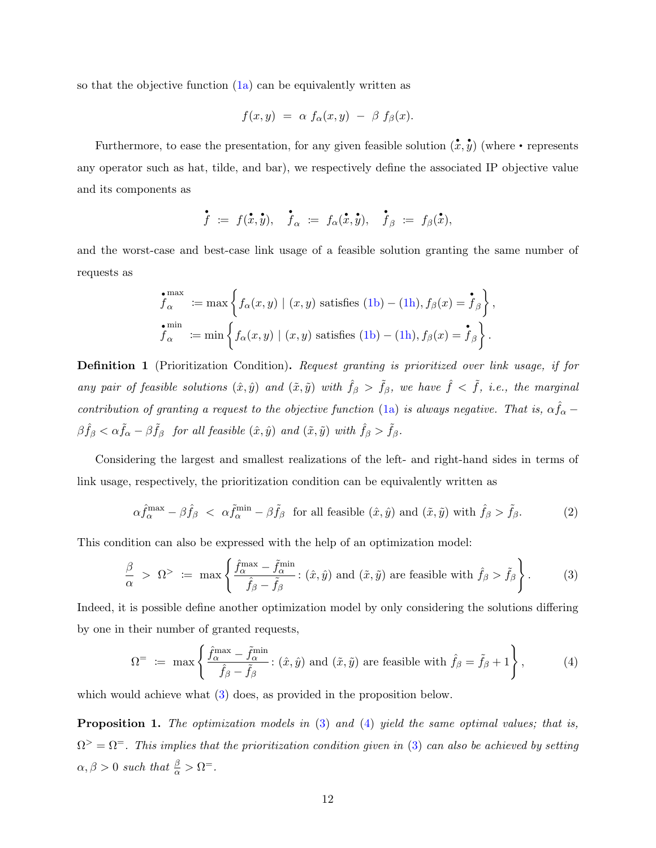so that the objective function  $(1a)$  can be equivalently written as

$$
f(x,y) = \alpha f_{\alpha}(x,y) - \beta f_{\beta}(x).
$$

Furthermore, to ease the presentation, for any given feasible solution  $(\mathbf{x}, \mathbf{y})$  (where • represents any operator such as hat, tilde, and bar), we respectively define the associated IP objective value and its components as

$$
\dot{\tilde{f}} \; := \; f(\dot{\tilde{x}}, \dot{\tilde{y}}), \quad \dot{\tilde{f}}_{\alpha} \; := \; f_{\alpha}(\dot{\tilde{x}}, \dot{\tilde{y}}), \quad \dot{\tilde{f}}_{\beta} \; := \; f_{\beta}(\dot{\tilde{x}}),
$$

and the worst-case and best-case link usage of a feasible solution granting the same number of requests as

$$
\begin{aligned}\n\mathbf{f}_{\alpha}^{\max} &:= \max \left\{ f_{\alpha}(x, y) \mid (x, y) \text{ satisfies (1b)} - (1\text{h}), f_{\beta}(x) = \mathbf{\dot{f}}_{\beta} \right\}, \\
\mathbf{f}_{\alpha}^{\min} &:= \min \left\{ f_{\alpha}(x, y) \mid (x, y) \text{ satisfies (1b)} - (1\text{h}), f_{\beta}(x) = \mathbf{\dot{f}}_{\beta} \right\}.\n\end{aligned}
$$

<span id="page-11-4"></span>Definition 1 (Prioritization Condition). Request granting is prioritized over link usage, if for any pair of feasible solutions  $(\hat{x}, \hat{y})$  and  $(\tilde{x}, \tilde{y})$  with  $\hat{f}_{\beta} > \tilde{f}_{\beta}$ , we have  $\hat{f} < \tilde{f}$ , i.e., the marginal contribution of granting a request to the objective function [\(1a\)](#page-10-7) is always negative. That is,  $\alpha \hat{f}_{\alpha}$  –  $\beta \hat{f}_{\beta} < \alpha \tilde{f}_{\alpha} - \beta \tilde{f}_{\beta}$  for all feasible  $(\hat{x}, \hat{y})$  and  $(\tilde{x}, \tilde{y})$  with  $\hat{f}_{\beta} > \tilde{f}_{\beta}$ .

Considering the largest and smallest realizations of the left- and right-hand sides in terms of link usage, respectively, the prioritization condition can be equivalently written as

<span id="page-11-3"></span><span id="page-11-0"></span>
$$
\alpha \hat{f}_{\alpha}^{\max} - \beta \hat{f}_{\beta} < \alpha \tilde{f}_{\alpha}^{\min} - \beta \tilde{f}_{\beta} \quad \text{for all feasible } (\hat{x}, \hat{y}) \text{ and } (\tilde{x}, \tilde{y}) \text{ with } \hat{f}_{\beta} > \tilde{f}_{\beta}. \tag{2}
$$

This condition can also be expressed with the help of an optimization model:

$$
\frac{\beta}{\alpha} > \Omega^> := \max \left\{ \frac{\hat{f}_\alpha^{\max} - \tilde{f}_\alpha^{\min}}{\hat{f}_\beta - \tilde{f}_\beta} : (\hat{x}, \hat{y}) \text{ and } (\tilde{x}, \tilde{y}) \text{ are feasible with } \hat{f}_\beta > \tilde{f}_\beta \right\}.
$$
 (3)

Indeed, it is possible define another optimization model by only considering the solutions differing by one in their number of granted requests,

<span id="page-11-1"></span>
$$
\Omega^{\pm} \ := \ \max \left\{ \frac{\hat{f}_{\alpha}^{\max} - \tilde{f}_{\alpha}^{\min}}{\hat{f}_{\beta} - \tilde{f}_{\beta}} : (\hat{x}, \hat{y}) \text{ and } (\tilde{x}, \tilde{y}) \text{ are feasible with } \hat{f}_{\beta} = \tilde{f}_{\beta} + 1 \right\},\tag{4}
$$

<span id="page-11-2"></span>which would achieve what  $(3)$  does, as provided in the proposition below.

Proposition 1. The optimization models in  $(3)$  and  $(4)$  yield the same optimal values; that is,  $\Omega^{\geq} = \Omega^{\pm}$ . This implies that the prioritization condition given in [\(3\)](#page-11-0) can also be achieved by setting  $\alpha, \beta > 0$  such that  $\frac{\beta}{\alpha} > \Omega^=$ .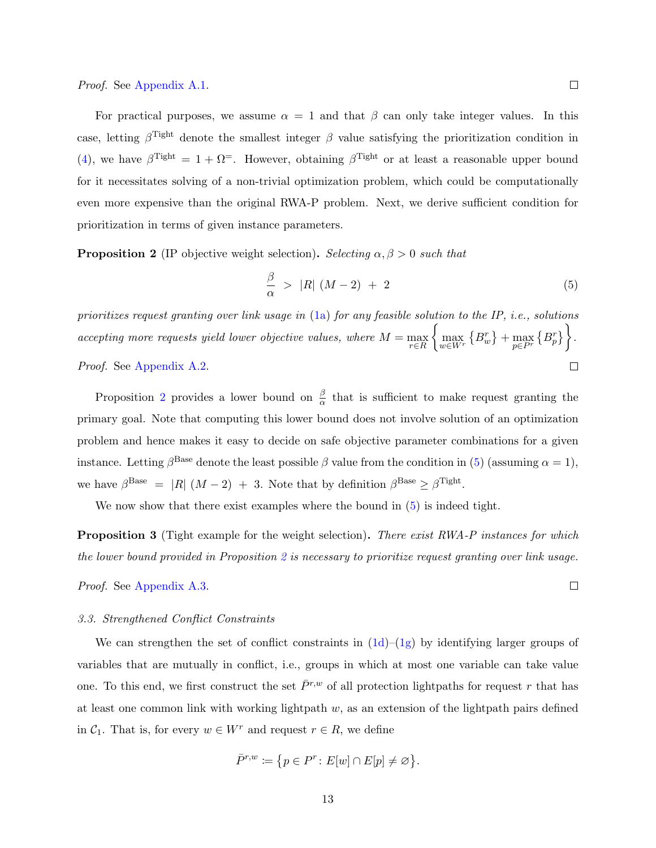For practical purposes, we assume  $\alpha = 1$  and that  $\beta$  can only take integer values. In this case, letting  $\beta^{\text{light}}$  denote the smallest integer  $\beta$  value satisfying the prioritization condition in [\(4\)](#page-11-1), we have  $\beta^{\text{light}} = 1 + \Omega^{\text{=}}$ . However, obtaining  $\beta^{\text{light}}$  or at least a reasonable upper bound for it necessitates solving of a non-trivial optimization problem, which could be computationally even more expensive than the original RWA-P problem. Next, we derive sufficient condition for prioritization in terms of given instance parameters.

<span id="page-12-0"></span>**Proposition 2** (IP objective weight selection). Selecting  $\alpha, \beta > 0$  such that

$$
\frac{\beta}{\alpha} > |R| (M-2) + 2 \tag{5}
$$

prioritizes request granting over link usage in [\(1a\)](#page-10-7) for any feasible solution to the IP, i.e., solutions  $\left\{\max_{w\in W^r}\left\{B^r_w\right\}+\max_{p\in P^r}\left\{B^r_p\right\}\right\}.$ accepting more requests yield lower objective values, where  $M = \max_{r \in R}$ Proof. See [Appendix A.2.](#page-32-1)  $\Box$ 

Proposition [2](#page-12-0) provides a lower bound on  $\frac{\beta}{\alpha}$  that is sufficient to make request granting the primary goal. Note that computing this lower bound does not involve solution of an optimization problem and hence makes it easy to decide on safe objective parameter combinations for a given instance. Letting  $\beta^{\text{Base}}$  denote the least possible  $\beta$  value from the condition in [\(5\)](#page-12-1) (assuming  $\alpha = 1$ ), we have  $\beta^{\text{Base}} = |R| (M - 2) + 3$ . Note that by definition  $\beta^{\text{Base}} \geq \beta^{\text{light}}$ .

We now show that there exist examples where the bound in  $(5)$  is indeed tight.

<span id="page-12-2"></span>**Proposition 3** (Tight example for the weight selection). There exist RWA-P instances for which the lower bound provided in Proposition [2](#page-12-0) is necessary to prioritize request granting over link usage.

Proof. See [Appendix A.3.](#page-34-0)

## 3.3. Strengthened Conflict Constraints

We can strengthen the set of conflict constraints in  $(1d)$ – $(1g)$  by identifying larger groups of variables that are mutually in conflict, i.e., groups in which at most one variable can take value one. To this end, we first construct the set  $\bar{P}^{r,w}$  of all protection lightpaths for request r that has at least one common link with working lightpath  $w$ , as an extension of the lightpath pairs defined in  $C_1$ . That is, for every  $w \in W^r$  and request  $r \in R$ , we define

$$
\bar{P}^{r,w} \coloneqq \big\{ p \in P^r \colon E[w] \cap E[p] \neq \varnothing \big\}.
$$

<span id="page-12-1"></span> $\Box$ 

 $\Box$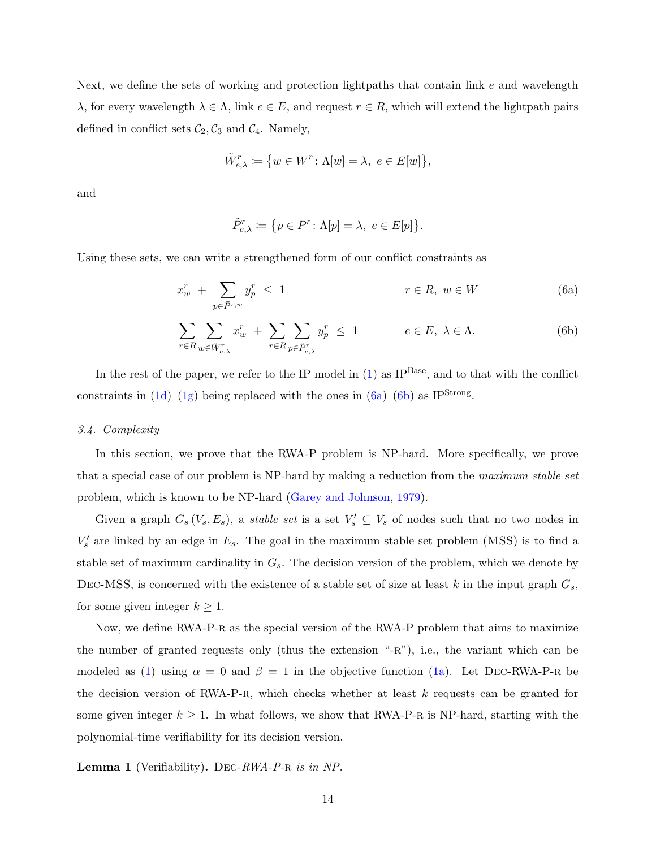Next, we define the sets of working and protection lightpaths that contain link  $e$  and wavelength  $\lambda$ , for every wavelength  $\lambda \in \Lambda$ , link  $e \in E$ , and request  $r \in R$ , which will extend the lightpath pairs defined in conflict sets  $C_2$ ,  $C_3$  and  $C_4$ . Namely,

$$
\tilde{W}_{e,\lambda}^r := \left\{ w \in W^r \colon \Lambda[w] = \lambda, \ e \in E[w] \right\},\
$$

and

<span id="page-13-2"></span><span id="page-13-1"></span>
$$
\tilde{P}_{e,\lambda}^r := \{ p \in P^r \colon \Lambda[p] = \lambda, \ e \in E[p] \}.
$$

Using these sets, we can write a strengthened form of our conflict constraints as

$$
x_w^r + \sum_{p \in \bar{P}^{r,w}} y_p^r \le 1 \qquad \qquad r \in R, \ w \in W \tag{6a}
$$

$$
\sum_{r \in R} \sum_{w \in \tilde{W}_{e,\lambda}^r} x_w^r + \sum_{r \in R} \sum_{p \in \tilde{P}_{e,\lambda}^r} y_p^r \le 1 \qquad e \in E, \ \lambda \in \Lambda. \tag{6b}
$$

In the rest of the paper, we refer to the IP model in  $(1)$  as IP<sup>Base</sup>, and to that with the conflict constraints in  $(1d)$ – $(1g)$  being replaced with the ones in  $(6a)$ – $(6b)$  as IP<sup>Strong</sup>.

## <span id="page-13-0"></span>3.4. Complexity

In this section, we prove that the RWA-P problem is NP-hard. More specifically, we prove that a special case of our problem is NP-hard by making a reduction from the maximum stable set problem, which is known to be NP-hard [\(Garey and Johnson,](#page-29-5) [1979\)](#page-29-5).

Given a graph  $G_s(V_s, E_s)$ , a *stable set* is a set  $V'_s \subseteq V_s$  of nodes such that no two nodes in  $V'_{s}$  are linked by an edge in  $E_{s}$ . The goal in the maximum stable set problem (MSS) is to find a stable set of maximum cardinality in  $G_s$ . The decision version of the problem, which we denote by DEC-MSS, is concerned with the existence of a stable set of size at least k in the input graph  $G_s$ , for some given integer  $k \geq 1$ .

Now, we define RWA-P-R as the special version of the RWA-P problem that aims to maximize the number of granted requests only (thus the extension " $-R$ "), i.e., the variant which can be modeled as [\(1\)](#page-10-8) using  $\alpha = 0$  and  $\beta = 1$  in the objective function [\(1a\)](#page-10-7). Let DEC-RWA-P-R be the decision version of RWA-P-R, which checks whether at least  $k$  requests can be granted for some given integer  $k \geq 1$ . In what follows, we show that RWA-P-R is NP-hard, starting with the polynomial-time verifiability for its decision version.

<span id="page-13-3"></span>**Lemma 1** (Verifiability). DEC-RWA-P-R is in NP.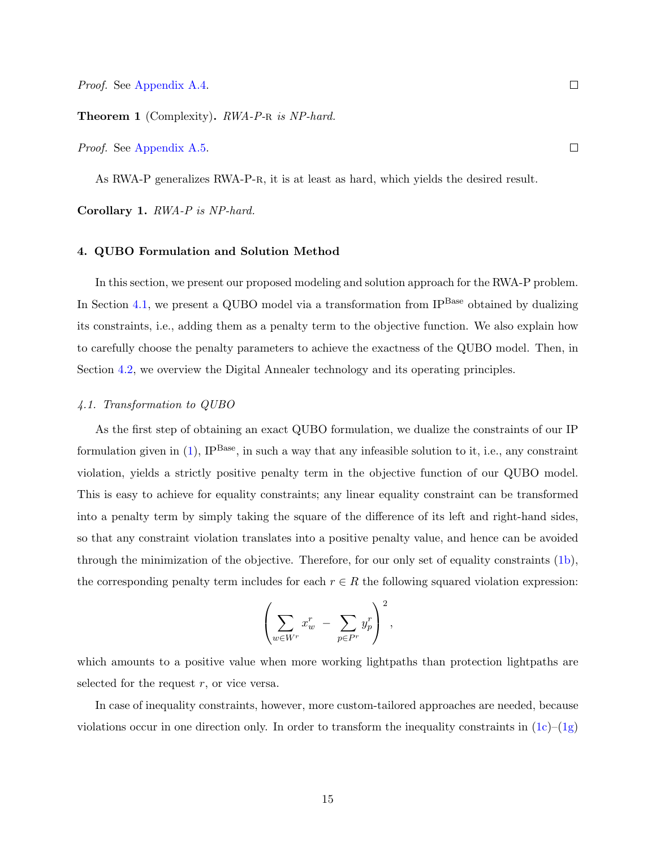<span id="page-14-2"></span>Theorem 1 (Complexity). RWA-P-R is NP-hard.

Proof. See [Appendix A.5.](#page-35-0)

As RWA-P generalizes RWA-P-R, it is at least as hard, which yields the desired result.

Corollary 1. RWA-P is NP-hard.

## <span id="page-14-0"></span>4. QUBO Formulation and Solution Method

In this section, we present our proposed modeling and solution approach for the RWA-P problem. In Section [4.1,](#page-14-1) we present a QUBO model via a transformation from  $IP<sup>Base</sup>$  obtained by dualizing its constraints, i.e., adding them as a penalty term to the objective function. We also explain how to carefully choose the penalty parameters to achieve the exactness of the QUBO model. Then, in Section [4.2,](#page-17-0) we overview the Digital Annealer technology and its operating principles.

## <span id="page-14-1"></span>4.1. Transformation to QUBO

As the first step of obtaining an exact QUBO formulation, we dualize the constraints of our IP formulation given in  $(1)$ , IP<sup>Base</sup>, in such a way that any infeasible solution to it, i.e., any constraint violation, yields a strictly positive penalty term in the objective function of our QUBO model. This is easy to achieve for equality constraints; any linear equality constraint can be transformed into a penalty term by simply taking the square of the difference of its left and right-hand sides, so that any constraint violation translates into a positive penalty value, and hence can be avoided through the minimization of the objective. Therefore, for our only set of equality constraints [\(1b\)](#page-10-1), the corresponding penalty term includes for each  $r \in R$  the following squared violation expression:

$$
\left(\sum_{w \in W^r} x_w^r - \sum_{p \in P^r} y_p^r\right)^2,
$$

which amounts to a positive value when more working lightpaths than protection lightpaths are selected for the request  $r$ , or vice versa.

In case of inequality constraints, however, more custom-tailored approaches are needed, because violations occur in one direction only. In order to transform the inequality constraints in  $(1c)$ – $(1g)$ 

 $\Box$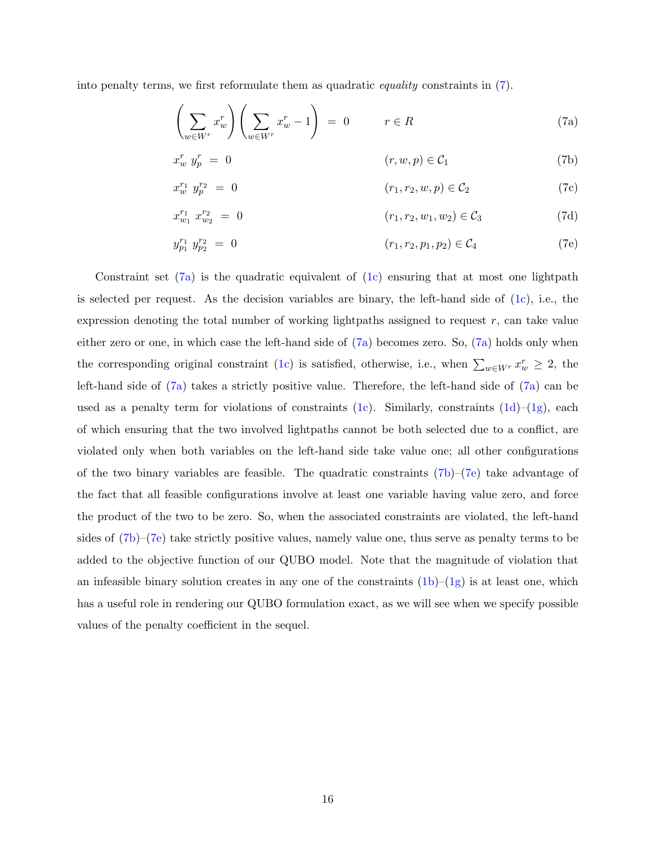into penalty terms, we first reformulate them as quadratic equality constraints in [\(7\)](#page-15-0).

<span id="page-15-2"></span><span id="page-15-1"></span><span id="page-15-0"></span>
$$
\left(\sum_{w \in W^r} x_w^r\right) \left(\sum_{w \in W^r} x_w^r - 1\right) = 0 \qquad r \in R \tag{7a}
$$

$$
x_w^r y_p^r = 0 \qquad (r, w, p) \in \mathcal{C}_1 \qquad (7b)
$$

$$
x_w^{r_1} y_p^{r_2} = 0 \qquad (r_1, r_2, w, p) \in C_2 \qquad (7c)
$$

$$
x_{w_1}^{r_1} x_{w_2}^{r_2} = 0 \qquad (r_1, r_2, w_1, w_2) \in \mathcal{C}_3 \qquad (7d)
$$

<span id="page-15-3"></span>
$$
y_{p_1}^{r_1} y_{p_2}^{r_2} = 0 \qquad (r_1, r_2, p_1, p_2) \in C_4 \qquad (7e)
$$

Constraint set  $(7a)$  is the quadratic equivalent of  $(1c)$  ensuring that at most one lightpath is selected per request. As the decision variables are binary, the left-hand side of  $(1c)$ , i.e., the expression denoting the total number of working lightpaths assigned to request  $r$ , can take value either zero or one, in which case the left-hand side of [\(7a\)](#page-15-1) becomes zero. So, [\(7a\)](#page-15-1) holds only when the corresponding original constraint [\(1c\)](#page-10-2) is satisfied, otherwise, i.e., when  $\sum_{w \in W^r} x_w^r \geq 2$ , the left-hand side of [\(7a\)](#page-15-1) takes a strictly positive value. Therefore, the left-hand side of [\(7a\)](#page-15-1) can be used as a penalty term for violations of constraints [\(1c\)](#page-10-2). Similarly, constraints [\(1d\)](#page-10-3)–[\(1g\)](#page-10-5), each of which ensuring that the two involved lightpaths cannot be both selected due to a conflict, are violated only when both variables on the left-hand side take value one; all other configurations of the two binary variables are feasible. The quadratic constraints  $(7b)-(7e)$  $(7b)-(7e)$  $(7b)-(7e)$  take advantage of the fact that all feasible configurations involve at least one variable having value zero, and force the product of the two to be zero. So, when the associated constraints are violated, the left-hand sides of [\(7b\)](#page-15-2)–[\(7e\)](#page-15-3) take strictly positive values, namely value one, thus serve as penalty terms to be added to the objective function of our QUBO model. Note that the magnitude of violation that an infeasible binary solution creates in any one of the constraints  $(1b)-(1g)$  $(1b)-(1g)$  $(1b)-(1g)$  is at least one, which has a useful role in rendering our QUBO formulation exact, as we will see when we specify possible values of the penalty coefficient in the sequel.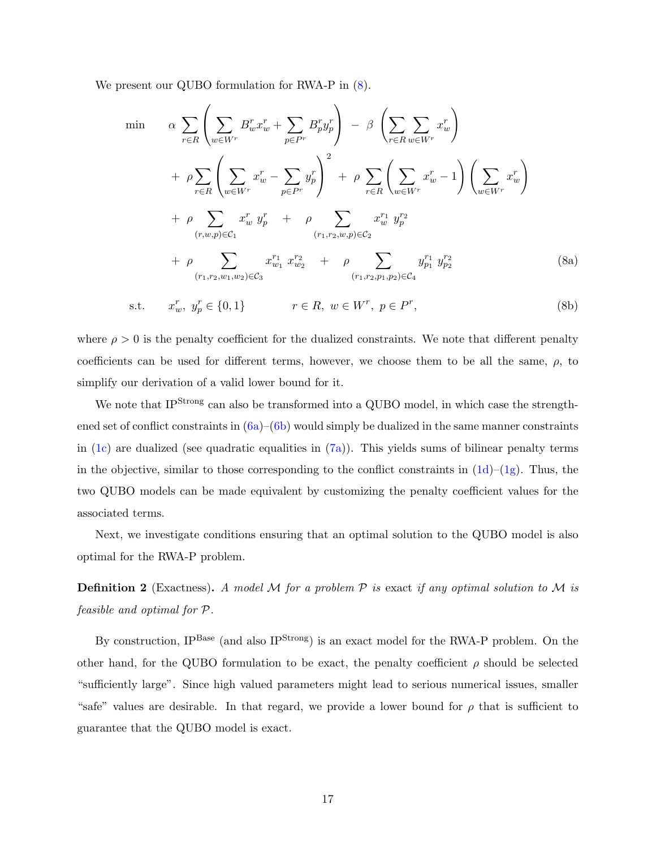We present our QUBO formulation for RWA-P in [\(8\)](#page-16-0).

<span id="page-16-0"></span>
$$
\min \quad \alpha \sum_{r \in R} \left( \sum_{w \in W^r} B_w^r x_w^r + \sum_{p \in P^r} B_p^r y_p^r \right) - \beta \left( \sum_{r \in R} \sum_{w \in W^r} x_w^r \right) \n+ \rho \sum_{r \in R} \left( \sum_{w \in W^r} x_w^r - \sum_{p \in P^r} y_p^r \right)^2 + \rho \sum_{r \in R} \left( \sum_{w \in W^r} x_w^r - 1 \right) \left( \sum_{w \in W^r} x_w^r \right) \n+ \rho \sum_{(r, w, p) \in C_1} x_w^r y_p^r + \rho \sum_{(r_1, r_2, w, p) \in C_2} x_w^{r_1} y_p^{r_2} \n+ \rho \sum_{(r_1, r_2, w_1, w_2) \in C_3} x_{w_1}^{r_1} x_{w_2}^{r_2} + \rho \sum_{(r_1, r_2, p_1, p_2) \in C_4} y_{p_1}^{r_1} y_{p_2}^{r_2}
$$
\n(8a)

<span id="page-16-2"></span>s.t. 
$$
x_w^r, y_p^r \in \{0, 1\}
$$
  $r \in R, w \in W^r, p \in P^r,$  (8b)

where  $\rho > 0$  is the penalty coefficient for the dualized constraints. We note that different penalty coefficients can be used for different terms, however, we choose them to be all the same,  $\rho$ , to simplify our derivation of a valid lower bound for it.

We note that IP<sup>Strong</sup> can also be transformed into a QUBO model, in which case the strengthened set of conflict constraints in  $(6a)$ – $(6b)$  would simply be dualized in the same manner constraints in [\(1c\)](#page-10-2) are dualized (see quadratic equalities in  $(7a)$ ). This yields sums of bilinear penalty terms in the objective, similar to those corresponding to the conflict constraints in  $(1d)-(1g)$  $(1d)-(1g)$  $(1d)-(1g)$ . Thus, the two QUBO models can be made equivalent by customizing the penalty coefficient values for the associated terms.

Next, we investigate conditions ensuring that an optimal solution to the QUBO model is also optimal for the RWA-P problem.

**Definition 2** (Exactness). A model M for a problem  $P$  is exact if any optimal solution to M is feasible and optimal for P.

<span id="page-16-1"></span>By construction, IP<sup>Base</sup> (and also IP<sup>Strong</sup>) is an exact model for the RWA-P problem. On the other hand, for the QUBO formulation to be exact, the penalty coefficient  $\rho$  should be selected "sufficiently large". Since high valued parameters might lead to serious numerical issues, smaller "safe" values are desirable. In that regard, we provide a lower bound for  $\rho$  that is sufficient to guarantee that the QUBO model is exact.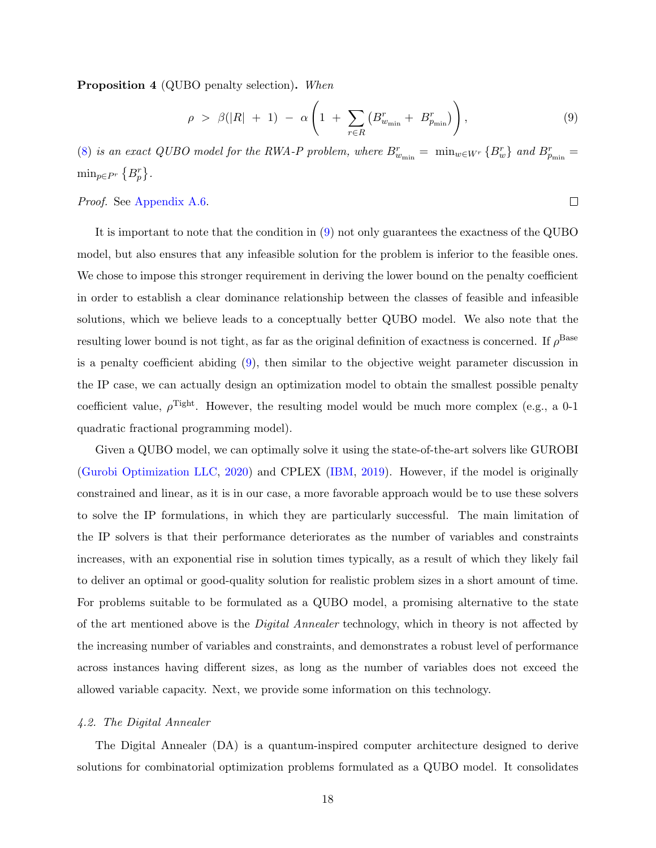Proposition 4 (QUBO penalty selection). When

$$
\rho > \beta(|R| + 1) - \alpha \left( 1 + \sum_{r \in R} \left( B_{w_{\min}}^r + B_{p_{\min}}^r \right) \right), \tag{9}
$$

<span id="page-17-1"></span> $\Box$ 

[\(8\)](#page-16-0) is an exact QUBO model for the RWA-P problem, where  $B_{w_{\min}}^r = \min_{w \in W^r} \{B_w^r\}$  and  $B_{p_{\min}}^r =$  $\min_{p \in P^r} \{B_p^r\}.$ 

# Proof. See [Appendix A.6.](#page-40-0)

It is important to note that the condition in [\(9\)](#page-17-1) not only guarantees the exactness of the QUBO model, but also ensures that any infeasible solution for the problem is inferior to the feasible ones. We chose to impose this stronger requirement in deriving the lower bound on the penalty coefficient in order to establish a clear dominance relationship between the classes of feasible and infeasible solutions, which we believe leads to a conceptually better QUBO model. We also note that the resulting lower bound is not tight, as far as the original definition of exactness is concerned. If  $\rho^{\text{Base}}$ is a penalty coefficient abiding [\(9\)](#page-17-1), then similar to the objective weight parameter discussion in the IP case, we can actually design an optimization model to obtain the smallest possible penalty coefficient value,  $\rho^{\text{light}}$ . However, the resulting model would be much more complex (e.g., a 0-1 quadratic fractional programming model).

Given a QUBO model, we can optimally solve it using the state-of-the-art solvers like GUROBI [\(Gurobi Optimization LLC,](#page-29-6) [2020\)](#page-29-6) and CPLEX [\(IBM,](#page-29-7) [2019\)](#page-29-7). However, if the model is originally constrained and linear, as it is in our case, a more favorable approach would be to use these solvers to solve the IP formulations, in which they are particularly successful. The main limitation of the IP solvers is that their performance deteriorates as the number of variables and constraints increases, with an exponential rise in solution times typically, as a result of which they likely fail to deliver an optimal or good-quality solution for realistic problem sizes in a short amount of time. For problems suitable to be formulated as a QUBO model, a promising alternative to the state of the art mentioned above is the *Digital Annealer* technology, which in theory is not affected by the increasing number of variables and constraints, and demonstrates a robust level of performance across instances having different sizes, as long as the number of variables does not exceed the allowed variable capacity. Next, we provide some information on this technology.

#### <span id="page-17-0"></span>4.2. The Digital Annealer

The Digital Annealer (DA) is a quantum-inspired computer architecture designed to derive solutions for combinatorial optimization problems formulated as a QUBO model. It consolidates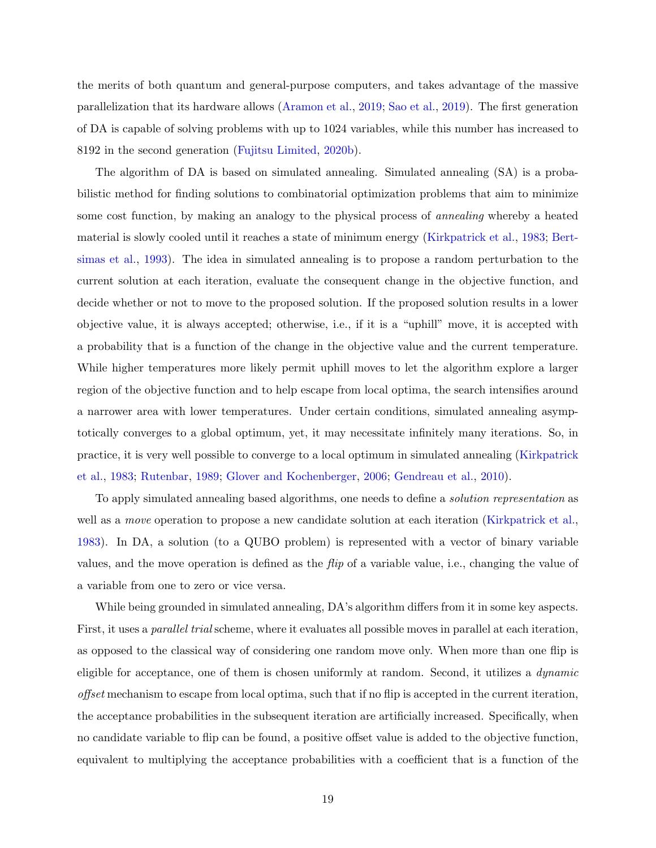the merits of both quantum and general-purpose computers, and takes advantage of the massive parallelization that its hardware allows [\(Aramon et al.,](#page-28-5) [2019;](#page-28-5) [Sao et al.,](#page-31-10) [2019\)](#page-31-10). The first generation of DA is capable of solving problems with up to 1024 variables, while this number has increased to 8192 in the second generation [\(Fujitsu Limited,](#page-29-8) [2020b\)](#page-29-8).

The algorithm of DA is based on simulated annealing. Simulated annealing (SA) is a probabilistic method for finding solutions to combinatorial optimization problems that aim to minimize some cost function, by making an analogy to the physical process of annealing whereby a heated material is slowly cooled until it reaches a state of minimum energy [\(Kirkpatrick et al.,](#page-30-11) [1983;](#page-30-11) [Bert](#page-28-13)[simas et al.,](#page-28-13) [1993\)](#page-28-13). The idea in simulated annealing is to propose a random perturbation to the current solution at each iteration, evaluate the consequent change in the objective function, and decide whether or not to move to the proposed solution. If the proposed solution results in a lower objective value, it is always accepted; otherwise, i.e., if it is a "uphill" move, it is accepted with a probability that is a function of the change in the objective value and the current temperature. While higher temperatures more likely permit uphill moves to let the algorithm explore a larger region of the objective function and to help escape from local optima, the search intensifies around a narrower area with lower temperatures. Under certain conditions, simulated annealing asymptotically converges to a global optimum, yet, it may necessitate infinitely many iterations. So, in practice, it is very well possible to converge to a local optimum in simulated annealing [\(Kirkpatrick](#page-30-11) [et al.,](#page-30-11) [1983;](#page-30-11) [Rutenbar,](#page-31-11) [1989;](#page-31-11) [Glover and Kochenberger,](#page-29-9) [2006;](#page-29-9) [Gendreau et al.,](#page-29-10) [2010\)](#page-29-10).

To apply simulated annealing based algorithms, one needs to define a solution representation as well as a *move* operation to propose a new candidate solution at each iteration [\(Kirkpatrick et al.,](#page-30-11) [1983\)](#page-30-11). In DA, a solution (to a QUBO problem) is represented with a vector of binary variable values, and the move operation is defined as the flip of a variable value, i.e., changing the value of a variable from one to zero or vice versa.

While being grounded in simulated annealing, DA's algorithm differs from it in some key aspects. First, it uses a *parallel trial* scheme, where it evaluates all possible moves in parallel at each iteration, as opposed to the classical way of considering one random move only. When more than one flip is eligible for acceptance, one of them is chosen uniformly at random. Second, it utilizes a dynamic offset mechanism to escape from local optima, such that if no flip is accepted in the current iteration, the acceptance probabilities in the subsequent iteration are artificially increased. Specifically, when no candidate variable to flip can be found, a positive offset value is added to the objective function, equivalent to multiplying the acceptance probabilities with a coefficient that is a function of the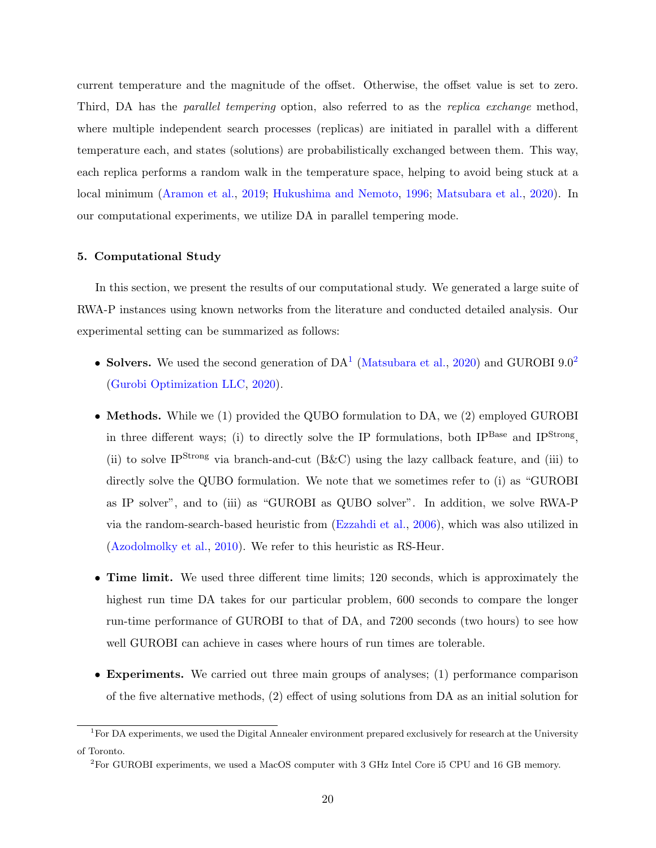current temperature and the magnitude of the offset. Otherwise, the offset value is set to zero. Third, DA has the *parallel tempering* option, also referred to as the *replica exchange* method, where multiple independent search processes (replicas) are initiated in parallel with a different temperature each, and states (solutions) are probabilistically exchanged between them. This way, each replica performs a random walk in the temperature space, helping to avoid being stuck at a local minimum [\(Aramon et al.,](#page-28-5) [2019;](#page-28-5) [Hukushima and Nemoto,](#page-29-11) [1996;](#page-29-11) [Matsubara et al.,](#page-30-7) [2020\)](#page-30-7). In our computational experiments, we utilize DA in parallel tempering mode.

### <span id="page-19-0"></span>5. Computational Study

In this section, we present the results of our computational study. We generated a large suite of RWA-P instances using known networks from the literature and conducted detailed analysis. Our experimental setting can be summarized as follows:

- Solvers. We used the second generation of  $DA<sup>1</sup>$  $DA<sup>1</sup>$  $DA<sup>1</sup>$  [\(Matsubara et al.,](#page-30-7) [2020\)](#page-30-7) and GUROBI 9.0<sup>[2](#page-19-2)</sup> [\(Gurobi Optimization LLC,](#page-29-6) [2020\)](#page-29-6).
- Methods. While we (1) provided the QUBO formulation to DA, we (2) employed GUROBI in three different ways; (i) to directly solve the IP formulations, both IP<sup>Base</sup> and IP<sup>Strong</sup>, (ii) to solve IP<sup>Strong</sup> via branch-and-cut  $(B&C)$  using the lazy callback feature, and (iii) to directly solve the QUBO formulation. We note that we sometimes refer to (i) as "GUROBI as IP solver", and to (iii) as "GUROBI as QUBO solver". In addition, we solve RWA-P via the random-search-based heuristic from [\(Ezzahdi et al.,](#page-29-4) [2006\)](#page-29-4), which was also utilized in [\(Azodolmolky et al.,](#page-28-9) [2010\)](#page-28-9). We refer to this heuristic as RS-Heur.
- Time limit. We used three different time limits; 120 seconds, which is approximately the highest run time DA takes for our particular problem, 600 seconds to compare the longer run-time performance of GUROBI to that of DA, and 7200 seconds (two hours) to see how well GUROBI can achieve in cases where hours of run times are tolerable.
- Experiments. We carried out three main groups of analyses; (1) performance comparison of the five alternative methods, (2) effect of using solutions from DA as an initial solution for

<span id="page-19-1"></span> ${}^{1}$ For DA experiments, we used the Digital Annealer environment prepared exclusively for research at the University of Toronto.

<span id="page-19-2"></span><sup>2</sup>For GUROBI experiments, we used a MacOS computer with 3 GHz Intel Core i5 CPU and 16 GB memory.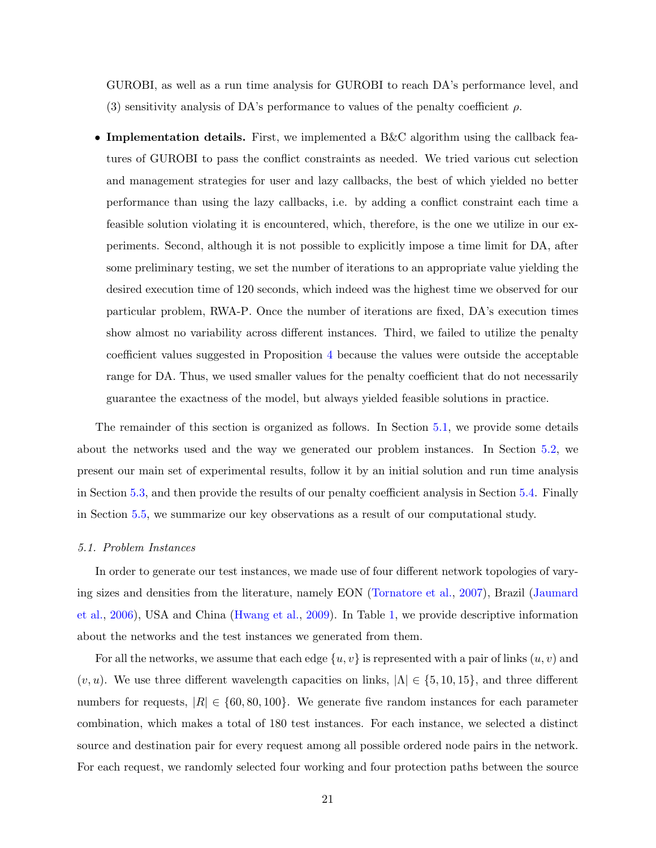GUROBI, as well as a run time analysis for GUROBI to reach DA's performance level, and (3) sensitivity analysis of DA's performance to values of the penalty coefficient  $\rho$ .

• Implementation details. First, we implemented a B&C algorithm using the callback features of GUROBI to pass the conflict constraints as needed. We tried various cut selection and management strategies for user and lazy callbacks, the best of which yielded no better performance than using the lazy callbacks, i.e. by adding a conflict constraint each time a feasible solution violating it is encountered, which, therefore, is the one we utilize in our experiments. Second, although it is not possible to explicitly impose a time limit for DA, after some preliminary testing, we set the number of iterations to an appropriate value yielding the desired execution time of 120 seconds, which indeed was the highest time we observed for our particular problem, RWA-P. Once the number of iterations are fixed, DA's execution times show almost no variability across different instances. Third, we failed to utilize the penalty coefficient values suggested in Proposition [4](#page-16-1) because the values were outside the acceptable range for DA. Thus, we used smaller values for the penalty coefficient that do not necessarily guarantee the exactness of the model, but always yielded feasible solutions in practice.

The remainder of this section is organized as follows. In Section [5.1,](#page-20-0) we provide some details about the networks used and the way we generated our problem instances. In Section [5.2,](#page-21-0) we present our main set of experimental results, follow it by an initial solution and run time analysis in Section [5.3,](#page-23-0) and then provide the results of our penalty coefficient analysis in Section [5.4.](#page-26-0) Finally in Section [5.5,](#page-26-1) we summarize our key observations as a result of our computational study.

#### <span id="page-20-0"></span>5.1. Problem Instances

In order to generate our test instances, we made use of four different network topologies of varying sizes and densities from the literature, namely EON [\(Tornatore et al.,](#page-31-12) [2007\)](#page-31-12), Brazil [\(Jaumard](#page-30-12) [et al.,](#page-30-12) [2006\)](#page-30-12), USA and China [\(Hwang et al.,](#page-29-12) [2009\)](#page-29-12). In Table [1,](#page-21-1) we provide descriptive information about the networks and the test instances we generated from them.

For all the networks, we assume that each edge  $\{u, v\}$  is represented with a pair of links  $(u, v)$  and  $(v, u)$ . We use three different wavelength capacities on links,  $|\Lambda| \in \{5, 10, 15\}$ , and three different numbers for requests,  $|R| \in \{60, 80, 100\}$ . We generate five random instances for each parameter combination, which makes a total of 180 test instances. For each instance, we selected a distinct source and destination pair for every request among all possible ordered node pairs in the network. For each request, we randomly selected four working and four protection paths between the source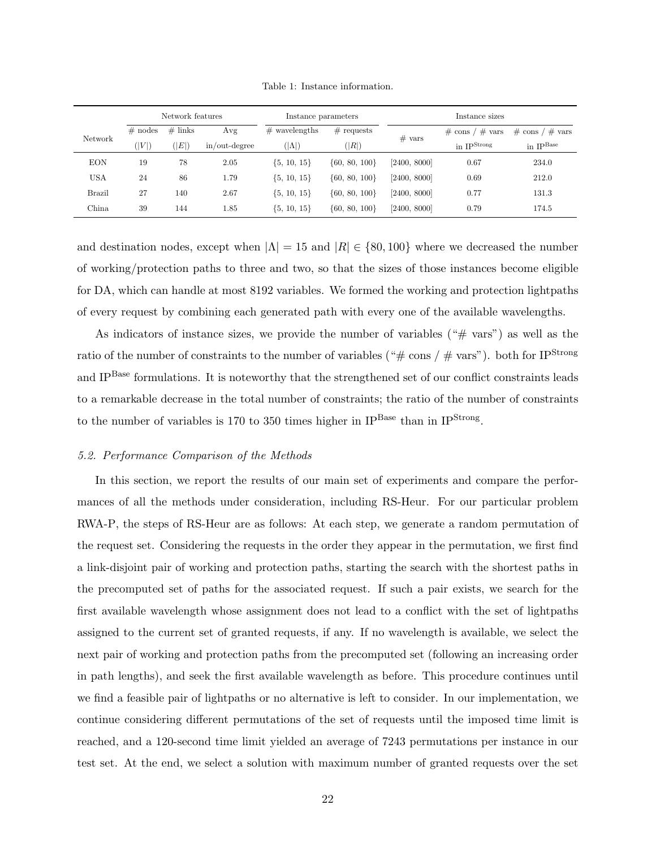<span id="page-21-1"></span>

|               |           | Network features |               | Instance parameters |                          | Instance sizes            |                         |                       |  |
|---------------|-----------|------------------|---------------|---------------------|--------------------------|---------------------------|-------------------------|-----------------------|--|
| Network       | $#$ nodes | $#$ links        | Avg           | $#$ wavelengths     | $#$ requests<br>$#$ vars | $'$ # vars<br>$\#$ cons / | $\#$ cons / $\#$ vars   |                       |  |
|               | ( V )     | ( E )            | in/out-degree | $( \Lambda )$       | ( R )                    |                           | in $IP^{\text{Strong}}$ | in $IP^{\text{Base}}$ |  |
| <b>EON</b>    | 19        | 78               | 2.05          | $\{5, 10, 15\}$     | $\{60, 80, 100\}$        | [2400, 8000]              | 0.67                    | 234.0                 |  |
| <b>USA</b>    | 24        | 86               | 1.79          | $\{5, 10, 15\}$     | $\{60, 80, 100\}$        | [2400, 8000]              | 0.69                    | 212.0                 |  |
| <b>Brazil</b> | 27        | 140              | 2.67          | $\{5, 10, 15\}$     | $\{60, 80, 100\}$        | [2400, 8000]              | 0.77                    | 131.3                 |  |
| China         | 39        | 144              | 1.85          | $\{5, 10, 15\}$     | $\{60, 80, 100\}$        | [2400, 8000]              | 0.79                    | 174.5                 |  |

Table 1: Instance information.

and destination nodes, except when  $|\Lambda| = 15$  and  $|R| \in \{80, 100\}$  where we decreased the number of working/protection paths to three and two, so that the sizes of those instances become eligible for DA, which can handle at most 8192 variables. We formed the working and protection lightpaths of every request by combining each generated path with every one of the available wavelengths.

As indicators of instance sizes, we provide the number of variables ("# vars") as well as the ratio of the number of constraints to the number of variables (" $\# \text{ cons}/\# \text{ vars}$ "). both for IP<sup>Strong</sup> and IPBase formulations. It is noteworthy that the strengthened set of our conflict constraints leads to a remarkable decrease in the total number of constraints; the ratio of the number of constraints to the number of variables is 170 to 350 times higher in  $IP<sup>Base</sup>$  than in  $IP<sup>Strong</sup>$ .

## <span id="page-21-0"></span>5.2. Performance Comparison of the Methods

In this section, we report the results of our main set of experiments and compare the performances of all the methods under consideration, including RS-Heur. For our particular problem RWA-P, the steps of RS-Heur are as follows: At each step, we generate a random permutation of the request set. Considering the requests in the order they appear in the permutation, we first find a link-disjoint pair of working and protection paths, starting the search with the shortest paths in the precomputed set of paths for the associated request. If such a pair exists, we search for the first available wavelength whose assignment does not lead to a conflict with the set of lightpaths assigned to the current set of granted requests, if any. If no wavelength is available, we select the next pair of working and protection paths from the precomputed set (following an increasing order in path lengths), and seek the first available wavelength as before. This procedure continues until we find a feasible pair of lightpaths or no alternative is left to consider. In our implementation, we continue considering different permutations of the set of requests until the imposed time limit is reached, and a 120-second time limit yielded an average of 7243 permutations per instance in our test set. At the end, we select a solution with maximum number of granted requests over the set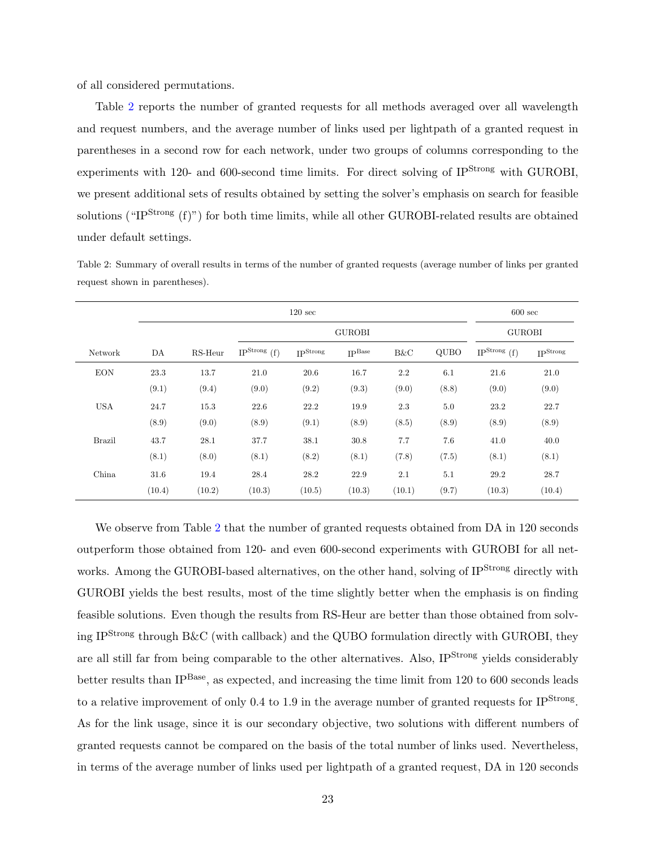of all considered permutations.

Table [2](#page-22-0) reports the number of granted requests for all methods averaged over all wavelength and request numbers, and the average number of links used per lightpath of a granted request in parentheses in a second row for each network, under two groups of columns corresponding to the experiments with 120- and 600-second time limits. For direct solving of IP<sup>Strong</sup> with GUROBI, we present additional sets of results obtained by setting the solver's emphasis on search for feasible solutions ("IP<sup>Strong</sup>  $(f)$ ") for both time limits, while all other GUROBI-related results are obtained under default settings.

<span id="page-22-0"></span>Table 2: Summary of overall results in terms of the number of granted requests (average number of links per granted request shown in parentheses).

|               |        |         | $600 \text{ sec}$          |                 |                    |        |             |                            |                  |
|---------------|--------|---------|----------------------------|-----------------|--------------------|--------|-------------|----------------------------|------------------|
|               |        |         |                            | <b>GUROBI</b>   | <b>GUROBI</b>      |        |             |                            |                  |
| Network       | DA     | RS-Heur | IP <sup>Strong</sup> $(f)$ | <b>IPStrong</b> | IP <sup>Base</sup> | B&C    | <b>QUBO</b> | IP <sup>Strong</sup> $(f)$ | <b>I</b> PStrong |
| <b>EON</b>    | 23.3   | 13.7    | 21.0                       | 20.6            | 16.7               | 2.2    | 6.1         | 21.6                       | 21.0             |
|               | (9.1)  | (9.4)   | (9.0)                      | (9.2)           | (9.3)              | (9.0)  | (8.8)       | (9.0)                      | (9.0)            |
| <b>USA</b>    | 24.7   | 15.3    | 22.6                       | 22.2            | 19.9               | 2.3    | 5.0         | 23.2                       | 22.7             |
|               | (8.9)  | (9.0)   | (8.9)                      | (9.1)           | (8.9)              | (8.5)  | (8.9)       | (8.9)                      | (8.9)            |
| <b>Brazil</b> | 43.7   | 28.1    | 37.7                       | 38.1            | 30.8               | 7.7    | 7.6         | 41.0                       | 40.0             |
|               | (8.1)  | (8.0)   | (8.1)                      | (8.2)           | (8.1)              | (7.8)  | (7.5)       | (8.1)                      | (8.1)            |
| China         | 31.6   | 19.4    | 28.4                       | 28.2            | 22.9               | 2.1    | $5.1\,$     | 29.2                       | 28.7             |
|               | (10.4) | (10.2)  | (10.3)                     | (10.5)          | (10.3)             | (10.1) | (9.7)       | (10.3)                     | (10.4)           |

We observe from Table [2](#page-22-0) that the number of granted requests obtained from DA in 120 seconds outperform those obtained from 120- and even 600-second experiments with GUROBI for all networks. Among the GUROBI-based alternatives, on the other hand, solving of IP<sup>Strong</sup> directly with GUROBI yields the best results, most of the time slightly better when the emphasis is on finding feasible solutions. Even though the results from RS-Heur are better than those obtained from solving IPStrong through B&C (with callback) and the QUBO formulation directly with GUROBI, they are all still far from being comparable to the other alternatives. Also, IP<sup>Strong</sup> yields considerably better results than IP<sup>Base</sup>, as expected, and increasing the time limit from 120 to 600 seconds leads to a relative improvement of only 0.4 to 1.9 in the average number of granted requests for IP<sup>Strong</sup>. As for the link usage, since it is our secondary objective, two solutions with different numbers of granted requests cannot be compared on the basis of the total number of links used. Nevertheless, in terms of the average number of links used per lightpath of a granted request, DA in 120 seconds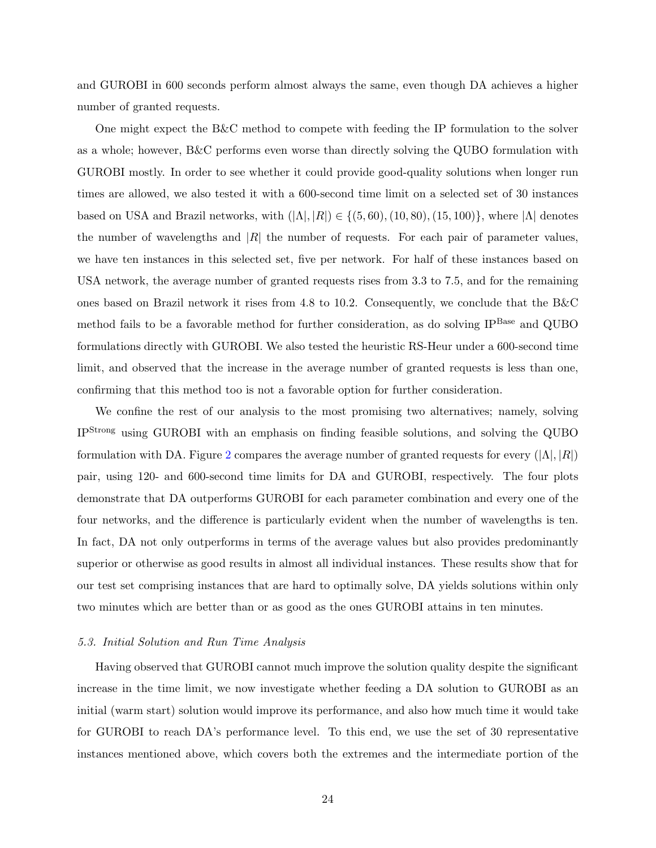and GUROBI in 600 seconds perform almost always the same, even though DA achieves a higher number of granted requests.

One might expect the B&C method to compete with feeding the IP formulation to the solver as a whole; however, B&C performs even worse than directly solving the QUBO formulation with GUROBI mostly. In order to see whether it could provide good-quality solutions when longer run times are allowed, we also tested it with a 600-second time limit on a selected set of 30 instances based on USA and Brazil networks, with  $(|\Lambda|, |R|) \in \{(5, 60), (10, 80), (15, 100)\}\,$ , where  $|\Lambda|$  denotes the number of wavelengths and  $|R|$  the number of requests. For each pair of parameter values, we have ten instances in this selected set, five per network. For half of these instances based on USA network, the average number of granted requests rises from 3.3 to 7.5, and for the remaining ones based on Brazil network it rises from 4.8 to 10.2. Consequently, we conclude that the B&C method fails to be a favorable method for further consideration, as do solving IP<sup>Base</sup> and QUBO formulations directly with GUROBI. We also tested the heuristic RS-Heur under a 600-second time limit, and observed that the increase in the average number of granted requests is less than one, confirming that this method too is not a favorable option for further consideration.

We confine the rest of our analysis to the most promising two alternatives; namely, solving IPStrong using GUROBI with an emphasis on finding feasible solutions, and solving the QUBO formulation with DA. Figure [2](#page-24-0) compares the average number of granted requests for every  $(|\Lambda|, |R|)$ pair, using 120- and 600-second time limits for DA and GUROBI, respectively. The four plots demonstrate that DA outperforms GUROBI for each parameter combination and every one of the four networks, and the difference is particularly evident when the number of wavelengths is ten. In fact, DA not only outperforms in terms of the average values but also provides predominantly superior or otherwise as good results in almost all individual instances. These results show that for our test set comprising instances that are hard to optimally solve, DA yields solutions within only two minutes which are better than or as good as the ones GUROBI attains in ten minutes.

# <span id="page-23-0"></span>5.3. Initial Solution and Run Time Analysis

Having observed that GUROBI cannot much improve the solution quality despite the significant increase in the time limit, we now investigate whether feeding a DA solution to GUROBI as an initial (warm start) solution would improve its performance, and also how much time it would take for GUROBI to reach DA's performance level. To this end, we use the set of 30 representative instances mentioned above, which covers both the extremes and the intermediate portion of the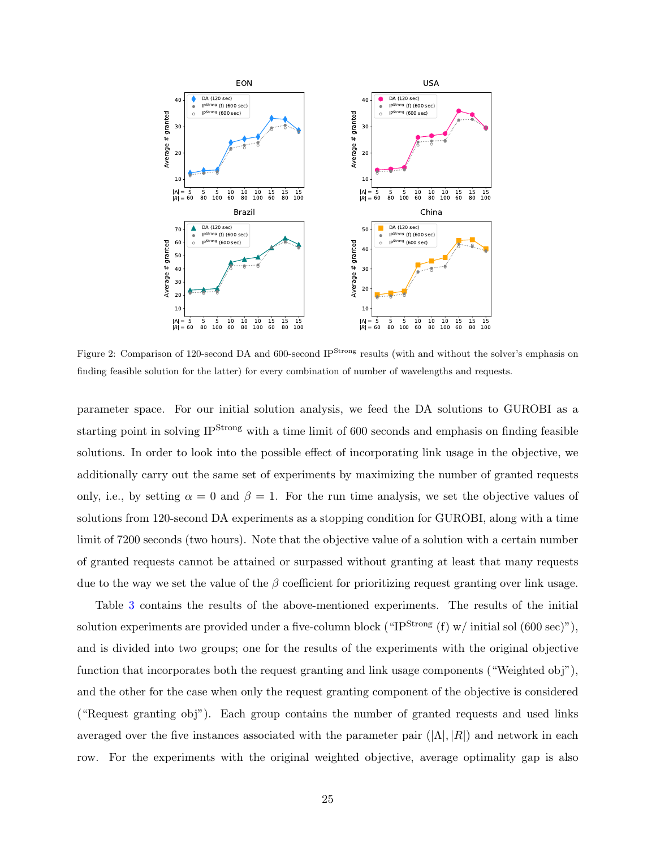<span id="page-24-0"></span>

Figure 2: Comparison of 120-second DA and 600-second IP<sup>Strong</sup> results (with and without the solver's emphasis on finding feasible solution for the latter) for every combination of number of wavelengths and requests.

parameter space. For our initial solution analysis, we feed the DA solutions to GUROBI as a starting point in solving IP<sup>Strong</sup> with a time limit of 600 seconds and emphasis on finding feasible solutions. In order to look into the possible effect of incorporating link usage in the objective, we additionally carry out the same set of experiments by maximizing the number of granted requests only, i.e., by setting  $\alpha = 0$  and  $\beta = 1$ . For the run time analysis, we set the objective values of solutions from 120-second DA experiments as a stopping condition for GUROBI, along with a time limit of 7200 seconds (two hours). Note that the objective value of a solution with a certain number of granted requests cannot be attained or surpassed without granting at least that many requests due to the way we set the value of the  $\beta$  coefficient for prioritizing request granting over link usage.

Table [3](#page-25-0) contains the results of the above-mentioned experiments. The results of the initial solution experiments are provided under a five-column block (" $IP^{Strong}$  (f) w/ initial sol (600 sec)"), and is divided into two groups; one for the results of the experiments with the original objective function that incorporates both the request granting and link usage components ("Weighted obj"), and the other for the case when only the request granting component of the objective is considered ("Request granting obj"). Each group contains the number of granted requests and used links averaged over the five instances associated with the parameter pair  $(|\Lambda|, |R|)$  and network in each row. For the experiments with the original weighted objective, average optimality gap is also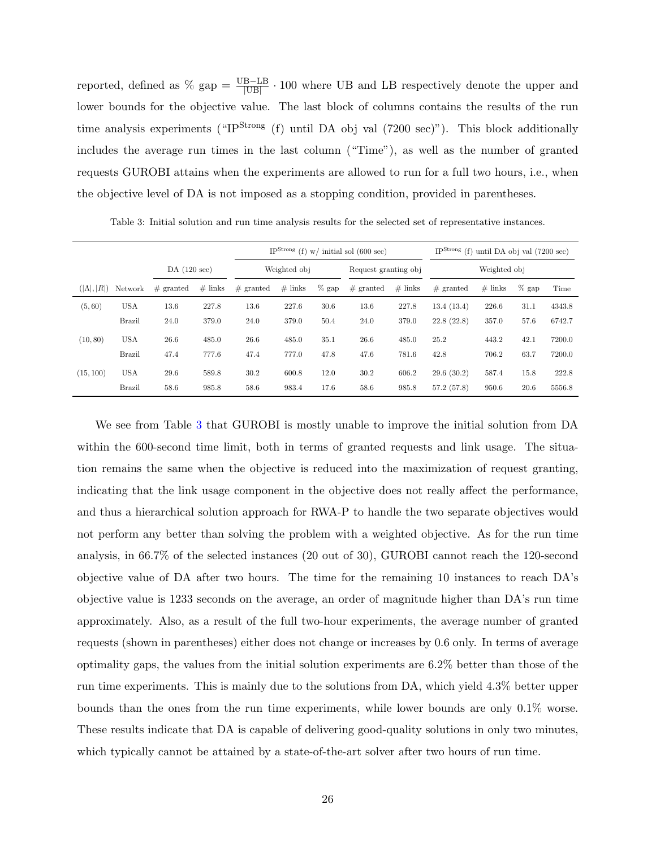reported, defined as  $\%$  gap =  $\frac{UB - LB}{|UB|} \cdot 100$  where UB and LB respectively denote the upper and lower bounds for the objective value. The last block of columns contains the results of the run time analysis experiments ("IP<sup>Strong</sup> (f) until DA obj val (7200 sec)"). This block additionally includes the average run times in the last column ("Time"), as well as the number of granted requests GUROBI attains when the experiments are allowed to run for a full two hours, i.e., when the objective level of DA is not imposed as a stopping condition, provided in parentheses.

|                    |               |             |           | IP <sup>Strong</sup> (f) $w/$ initial sol (600 sec) |           |          |                      |           | IP <sup>Strong</sup> (f) until DA obj val $(7200 \text{ sec})$ |           |          |        |  |
|--------------------|---------------|-------------|-----------|-----------------------------------------------------|-----------|----------|----------------------|-----------|----------------------------------------------------------------|-----------|----------|--------|--|
|                    |               | DA(120 sec) |           | Weighted obj                                        |           |          | Request granting obj |           | Weighted obj                                                   |           |          |        |  |
| $( \Lambda ,  R )$ | Network       | $#$ granted | $#$ links | $#$ granted                                         | $#$ links | $\%$ gap | $#$ granted          | $#$ links | $#$ granted                                                    | $#$ links | $\%$ gap | Time   |  |
| (5, 60)            | <b>USA</b>    | 13.6        | 227.8     | 13.6                                                | 227.6     | 30.6     | 13.6                 | 227.8     | 13.4(13.4)                                                     | 226.6     | 31.1     | 4343.8 |  |
|                    | <b>Brazil</b> | 24.0        | 379.0     | 24.0                                                | 379.0     | 50.4     | 24.0                 | 379.0     | 22.8(22.8)                                                     | 357.0     | 57.6     | 6742.7 |  |
| (10, 80)           | <b>USA</b>    | 26.6        | 485.0     | 26.6                                                | 485.0     | 35.1     | 26.6                 | 485.0     | 25.2                                                           | 443.2     | 42.1     | 7200.0 |  |
|                    | <b>Brazil</b> | 47.4        | 777.6     | 47.4                                                | 777.0     | 47.8     | 47.6                 | 781.6     | 42.8                                                           | 706.2     | 63.7     | 7200.0 |  |
| (15, 100)          | <b>USA</b>    | 29.6        | 589.8     | 30.2                                                | 600.8     | 12.0     | 30.2                 | 606.2     | 29.6(30.2)                                                     | 587.4     | 15.8     | 222.8  |  |
|                    | <b>Brazil</b> | 58.6        | 985.8     | 58.6                                                | 983.4     | 17.6     | 58.6                 | 985.8     | 57.2(57.8)                                                     | 950.6     | 20.6     | 5556.8 |  |

<span id="page-25-0"></span>Table 3: Initial solution and run time analysis results for the selected set of representative instances.

We see from Table [3](#page-25-0) that GUROBI is mostly unable to improve the initial solution from DA within the 600-second time limit, both in terms of granted requests and link usage. The situation remains the same when the objective is reduced into the maximization of request granting, indicating that the link usage component in the objective does not really affect the performance, and thus a hierarchical solution approach for RWA-P to handle the two separate objectives would not perform any better than solving the problem with a weighted objective. As for the run time analysis, in 66.7% of the selected instances (20 out of 30), GUROBI cannot reach the 120-second objective value of DA after two hours. The time for the remaining 10 instances to reach DA's objective value is 1233 seconds on the average, an order of magnitude higher than DA's run time approximately. Also, as a result of the full two-hour experiments, the average number of granted requests (shown in parentheses) either does not change or increases by 0.6 only. In terms of average optimality gaps, the values from the initial solution experiments are 6.2% better than those of the run time experiments. This is mainly due to the solutions from DA, which yield 4.3% better upper bounds than the ones from the run time experiments, while lower bounds are only 0.1% worse. These results indicate that DA is capable of delivering good-quality solutions in only two minutes, which typically cannot be attained by a state-of-the-art solver after two hours of run time.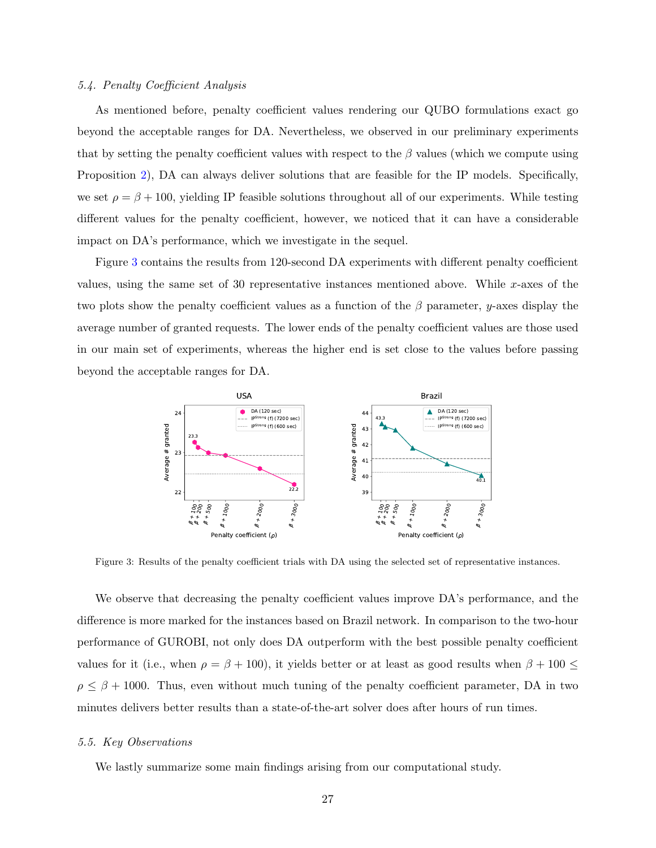## <span id="page-26-0"></span>5.4. Penalty Coefficient Analysis

As mentioned before, penalty coefficient values rendering our QUBO formulations exact go beyond the acceptable ranges for DA. Nevertheless, we observed in our preliminary experiments that by setting the penalty coefficient values with respect to the  $\beta$  values (which we compute using Proposition [2\)](#page-12-0), DA can always deliver solutions that are feasible for the IP models. Specifically, we set  $\rho = \beta + 100$ , yielding IP feasible solutions throughout all of our experiments. While testing different values for the penalty coefficient, however, we noticed that it can have a considerable impact on DA's performance, which we investigate in the sequel.

Figure [3](#page-26-2) contains the results from 120-second DA experiments with different penalty coefficient values, using the same set of 30 representative instances mentioned above. While x-axes of the two plots show the penalty coefficient values as a function of the  $\beta$  parameter, y-axes display the average number of granted requests. The lower ends of the penalty coefficient values are those used in our main set of experiments, whereas the higher end is set close to the values before passing beyond the acceptable ranges for DA.

<span id="page-26-2"></span>

Figure 3: Results of the penalty coefficient trials with DA using the selected set of representative instances.

We observe that decreasing the penalty coefficient values improve DA's performance, and the difference is more marked for the instances based on Brazil network. In comparison to the two-hour performance of GUROBI, not only does DA outperform with the best possible penalty coefficient values for it (i.e., when  $\rho = \beta + 100$ ), it yields better or at least as good results when  $\beta + 100 \le$  $\rho \leq \beta + 1000$ . Thus, even without much tuning of the penalty coefficient parameter, DA in two minutes delivers better results than a state-of-the-art solver does after hours of run times.

#### <span id="page-26-1"></span>5.5. Key Observations

We lastly summarize some main findings arising from our computational study.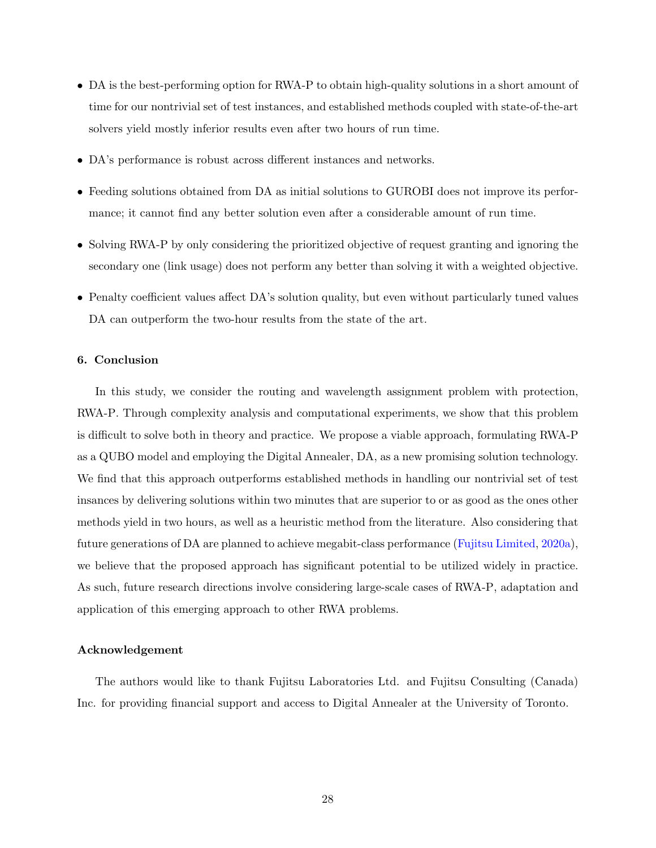- DA is the best-performing option for RWA-P to obtain high-quality solutions in a short amount of time for our nontrivial set of test instances, and established methods coupled with state-of-the-art solvers yield mostly inferior results even after two hours of run time.
- DA's performance is robust across different instances and networks.
- Feeding solutions obtained from DA as initial solutions to GUROBI does not improve its performance; it cannot find any better solution even after a considerable amount of run time.
- Solving RWA-P by only considering the prioritized objective of request granting and ignoring the secondary one (link usage) does not perform any better than solving it with a weighted objective.
- Penalty coefficient values affect DA's solution quality, but even without particularly tuned values DA can outperform the two-hour results from the state of the art.

## <span id="page-27-0"></span>6. Conclusion

In this study, we consider the routing and wavelength assignment problem with protection, RWA-P. Through complexity analysis and computational experiments, we show that this problem is difficult to solve both in theory and practice. We propose a viable approach, formulating RWA-P as a QUBO model and employing the Digital Annealer, DA, as a new promising solution technology. We find that this approach outperforms established methods in handling our nontrivial set of test insances by delivering solutions within two minutes that are superior to or as good as the ones other methods yield in two hours, as well as a heuristic method from the literature. Also considering that future generations of DA are planned to achieve megabit-class performance [\(Fujitsu Limited,](#page-29-13) [2020a\)](#page-29-13), we believe that the proposed approach has significant potential to be utilized widely in practice. As such, future research directions involve considering large-scale cases of RWA-P, adaptation and application of this emerging approach to other RWA problems.

#### Acknowledgement

The authors would like to thank Fujitsu Laboratories Ltd. and Fujitsu Consulting (Canada) Inc. for providing financial support and access to Digital Annealer at the University of Toronto.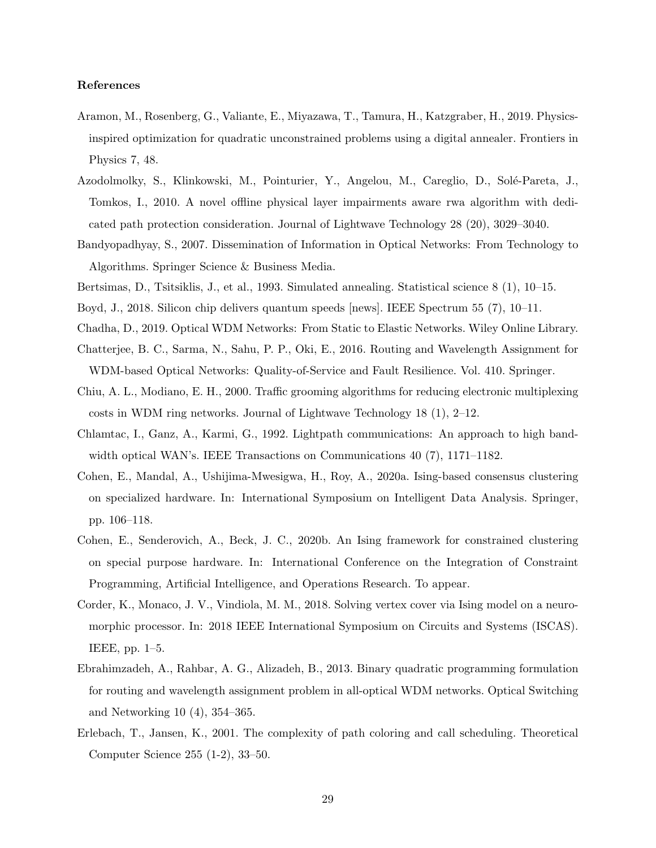## References

- <span id="page-28-5"></span>Aramon, M., Rosenberg, G., Valiante, E., Miyazawa, T., Tamura, H., Katzgraber, H., 2019. Physicsinspired optimization for quadratic unconstrained problems using a digital annealer. Frontiers in Physics 7, 48.
- <span id="page-28-9"></span>Azodolmolky, S., Klinkowski, M., Pointurier, Y., Angelou, M., Careglio, D., Solé-Pareta, J., Tomkos, I., 2010. A novel offline physical layer impairments aware rwa algorithm with dedicated path protection consideration. Journal of Lightwave Technology 28 (20), 3029–3040.
- <span id="page-28-1"></span>Bandyopadhyay, S., 2007. Dissemination of Information in Optical Networks: From Technology to Algorithms. Springer Science & Business Media.
- <span id="page-28-13"></span><span id="page-28-6"></span>Bertsimas, D., Tsitsiklis, J., et al., 1993. Simulated annealing. Statistical science 8 (1), 10–15.
- <span id="page-28-0"></span>Boyd, J., 2018. Silicon chip delivers quantum speeds [news]. IEEE Spectrum 55 (7), 10–11.
- <span id="page-28-3"></span>Chadha, D., 2019. Optical WDM Networks: From Static to Elastic Networks. Wiley Online Library.
- Chatterjee, B. C., Sarma, N., Sahu, P. P., Oki, E., 2016. Routing and Wavelength Assignment for WDM-based Optical Networks: Quality-of-Service and Fault Resilience. Vol. 410. Springer.
- <span id="page-28-12"></span>Chiu, A. L., Modiano, E. H., 2000. Traffic grooming algorithms for reducing electronic multiplexing costs in WDM ring networks. Journal of Lightwave Technology 18 (1), 2–12.
- <span id="page-28-11"></span>Chlamtac, I., Ganz, A., Karmi, G., 1992. Lightpath communications: An approach to high bandwidth optical WAN's. IEEE Transactions on Communications 40 (7), 1171–1182.
- <span id="page-28-7"></span>Cohen, E., Mandal, A., Ushijima-Mwesigwa, H., Roy, A., 2020a. Ising-based consensus clustering on specialized hardware. In: International Symposium on Intelligent Data Analysis. Springer, pp. 106–118.
- <span id="page-28-8"></span>Cohen, E., Senderovich, A., Beck, J. C., 2020b. An Ising framework for constrained clustering on special purpose hardware. In: International Conference on the Integration of Constraint Programming, Artificial Intelligence, and Operations Research. To appear.
- <span id="page-28-4"></span>Corder, K., Monaco, J. V., Vindiola, M. M., 2018. Solving vertex cover via Ising model on a neuromorphic processor. In: 2018 IEEE International Symposium on Circuits and Systems (ISCAS). IEEE, pp. 1–5.
- <span id="page-28-10"></span>Ebrahimzadeh, A., Rahbar, A. G., Alizadeh, B., 2013. Binary quadratic programming formulation for routing and wavelength assignment problem in all-optical WDM networks. Optical Switching and Networking 10 (4), 354–365.
- <span id="page-28-2"></span>Erlebach, T., Jansen, K., 2001. The complexity of path coloring and call scheduling. Theoretical Computer Science 255 (1-2), 33–50.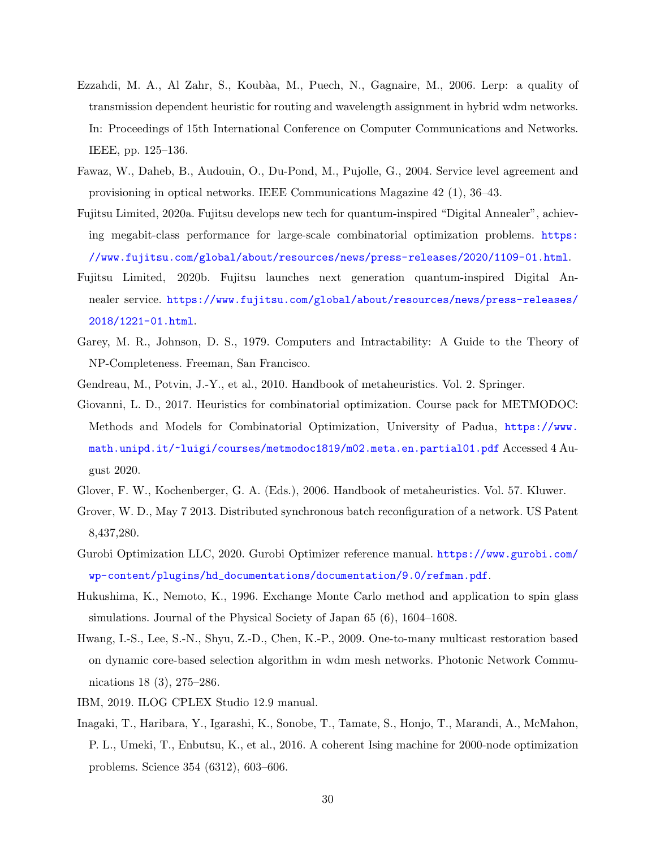- <span id="page-29-4"></span>Ezzahdi, M. A., Al Zahr, S., Koub`aa, M., Puech, N., Gagnaire, M., 2006. Lerp: a quality of transmission dependent heuristic for routing and wavelength assignment in hybrid wdm networks. In: Proceedings of 15th International Conference on Computer Communications and Networks. IEEE, pp. 125–136.
- <span id="page-29-1"></span>Fawaz, W., Daheb, B., Audouin, O., Du-Pond, M., Pujolle, G., 2004. Service level agreement and provisioning in optical networks. IEEE Communications Magazine 42 (1), 36–43.
- <span id="page-29-13"></span>Fujitsu Limited, 2020a. Fujitsu develops new tech for quantum-inspired "Digital Annealer", achieving megabit-class performance for large-scale combinatorial optimization problems. [https:](https://www.fujitsu.com/global/about/resources/news/press-releases/2020/1109-01.html) [//www.fujitsu.com/global/about/resources/news/press-releases/2020/1109-01.html](https://www.fujitsu.com/global/about/resources/news/press-releases/2020/1109-01.html).
- <span id="page-29-8"></span>Fujitsu Limited, 2020b. Fujitsu launches next generation quantum-inspired Digital Annealer service. [https://www.fujitsu.com/global/about/resources/news/press-releases/](https://www.fujitsu.com/global/about/resources/news/press-releases/2018/1221-01.html) [2018/1221-01.html](https://www.fujitsu.com/global/about/resources/news/press-releases/2018/1221-01.html).
- <span id="page-29-5"></span>Garey, M. R., Johnson, D. S., 1979. Computers and Intractability: A Guide to the Theory of NP-Completeness. Freeman, San Francisco.
- <span id="page-29-10"></span><span id="page-29-2"></span>Gendreau, M., Potvin, J.-Y., et al., 2010. Handbook of metaheuristics. Vol. 2. Springer.
- Giovanni, L. D., 2017. Heuristics for combinatorial optimization. Course pack for METMODOC: Methods and Models for Combinatorial Optimization, University of Padua, [https://www.](https://www.math.unipd.it/~luigi/courses/metmodoc1819/m02.meta.en.partial01.pdf) [math.unipd.it/~luigi/courses/metmodoc1819/m02.meta.en.partial01.pdf](https://www.math.unipd.it/~luigi/courses/metmodoc1819/m02.meta.en.partial01.pdf) Accessed 4 August 2020.
- <span id="page-29-9"></span><span id="page-29-0"></span>Glover, F. W., Kochenberger, G. A. (Eds.), 2006. Handbook of metaheuristics. Vol. 57. Kluwer.
- Grover, W. D., May 7 2013. Distributed synchronous batch reconfiguration of a network. US Patent 8,437,280.
- <span id="page-29-6"></span>Gurobi Optimization LLC, 2020. Gurobi Optimizer reference manual. [https://www.gurobi.com/](https://www.gurobi.com/wp-content/plugins/hd_documentations/documentation/9.0/refman.pdf) [wp-content/plugins/hd\\_documentations/documentation/9.0/refman.pdf](https://www.gurobi.com/wp-content/plugins/hd_documentations/documentation/9.0/refman.pdf).
- <span id="page-29-11"></span>Hukushima, K., Nemoto, K., 1996. Exchange Monte Carlo method and application to spin glass simulations. Journal of the Physical Society of Japan 65 (6), 1604–1608.
- <span id="page-29-12"></span>Hwang, I.-S., Lee, S.-N., Shyu, Z.-D., Chen, K.-P., 2009. One-to-many multicast restoration based on dynamic core-based selection algorithm in wdm mesh networks. Photonic Network Communications 18 (3), 275–286.
- <span id="page-29-7"></span><span id="page-29-3"></span>IBM, 2019. ILOG CPLEX Studio 12.9 manual.
- Inagaki, T., Haribara, Y., Igarashi, K., Sonobe, T., Tamate, S., Honjo, T., Marandi, A., McMahon, P. L., Umeki, T., Enbutsu, K., et al., 2016. A coherent Ising machine for 2000-node optimization problems. Science 354 (6312), 603–606.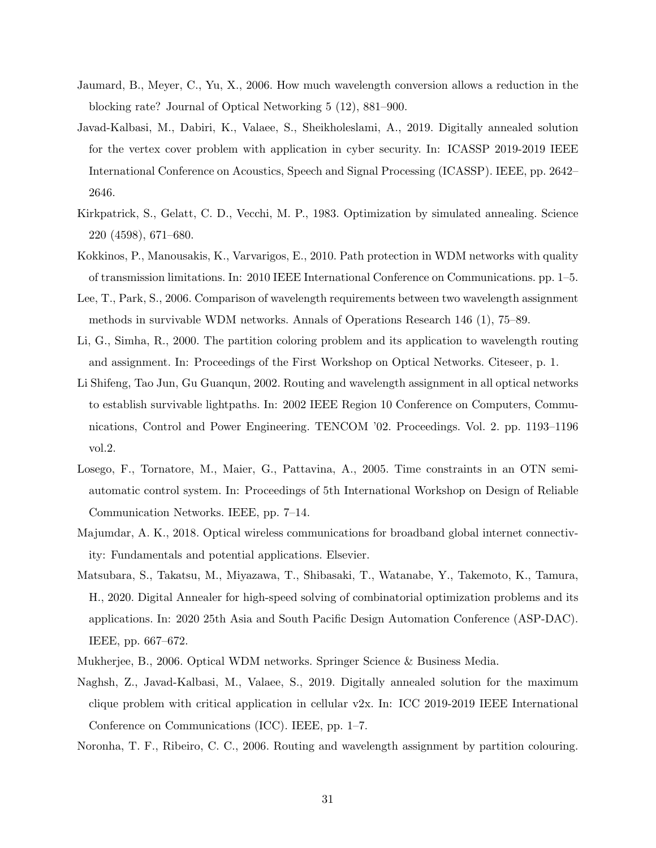- <span id="page-30-12"></span>Jaumard, B., Meyer, C., Yu, X., 2006. How much wavelength conversion allows a reduction in the blocking rate? Journal of Optical Networking 5 (12), 881–900.
- <span id="page-30-5"></span>Javad-Kalbasi, M., Dabiri, K., Valaee, S., Sheikholeslami, A., 2019. Digitally annealed solution for the vertex cover problem with application in cyber security. In: ICASSP 2019-2019 IEEE International Conference on Acoustics, Speech and Signal Processing (ICASSP). IEEE, pp. 2642– 2646.
- <span id="page-30-11"></span>Kirkpatrick, S., Gelatt, C. D., Vecchi, M. P., 1983. Optimization by simulated annealing. Science 220 (4598), 671–680.
- <span id="page-30-10"></span>Kokkinos, P., Manousakis, K., Varvarigos, E., 2010. Path protection in WDM networks with quality of transmission limitations. In: 2010 IEEE International Conference on Communications. pp. 1–5.
- <span id="page-30-8"></span>Lee, T., Park, S., 2006. Comparison of wavelength requirements between two wavelength assignment methods in survivable WDM networks. Annals of Operations Research 146 (1), 75–89.
- <span id="page-30-3"></span>Li, G., Simha, R., 2000. The partition coloring problem and its application to wavelength routing and assignment. In: Proceedings of the First Workshop on Optical Networks. Citeseer, p. 1.
- <span id="page-30-9"></span>Li Shifeng, Tao Jun, Gu Guanqun, 2002. Routing and wavelength assignment in all optical networks to establish survivable lightpaths. In: 2002 IEEE Region 10 Conference on Computers, Communications, Control and Power Engineering. TENCOM '02. Proceedings. Vol. 2. pp. 1193–1196 vol.2.
- <span id="page-30-2"></span>Losego, F., Tornatore, M., Maier, G., Pattavina, A., 2005. Time constraints in an OTN semiautomatic control system. In: Proceedings of 5th International Workshop on Design of Reliable Communication Networks. IEEE, pp. 7–14.
- <span id="page-30-0"></span>Majumdar, A. K., 2018. Optical wireless communications for broadband global internet connectivity: Fundamentals and potential applications. Elsevier.
- <span id="page-30-7"></span>Matsubara, S., Takatsu, M., Miyazawa, T., Shibasaki, T., Watanabe, Y., Takemoto, K., Tamura, H., 2020. Digital Annealer for high-speed solving of combinatorial optimization problems and its applications. In: 2020 25th Asia and South Pacific Design Automation Conference (ASP-DAC). IEEE, pp. 667–672.
- <span id="page-30-6"></span><span id="page-30-1"></span>Mukherjee, B., 2006. Optical WDM networks. Springer Science & Business Media.
- Naghsh, Z., Javad-Kalbasi, M., Valaee, S., 2019. Digitally annealed solution for the maximum clique problem with critical application in cellular v2x. In: ICC 2019-2019 IEEE International Conference on Communications (ICC). IEEE, pp. 1–7.

<span id="page-30-4"></span>Noronha, T. F., Ribeiro, C. C., 2006. Routing and wavelength assignment by partition colouring.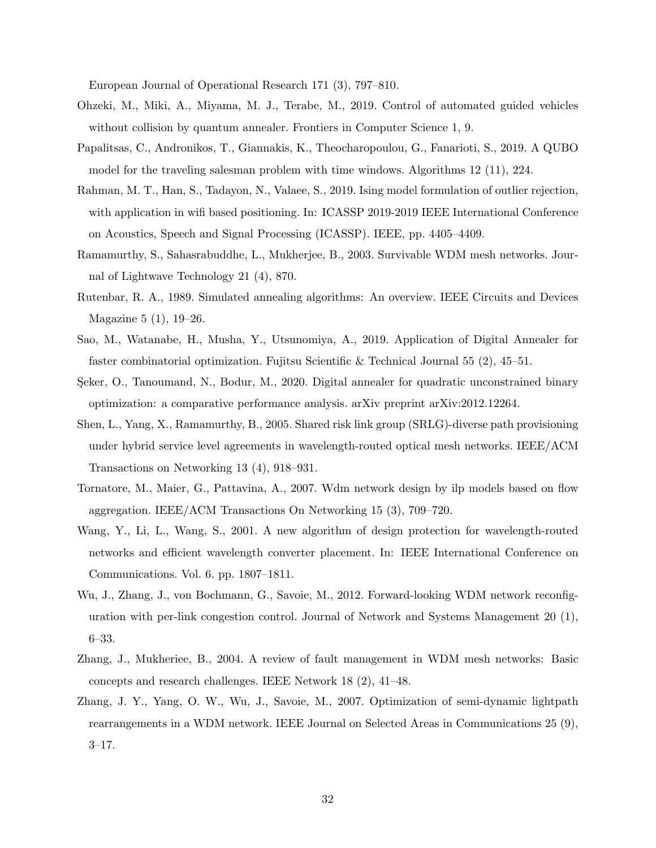European Journal of Operational Research 171 (3), 797–810.

- <span id="page-31-7"></span>Ohzeki, M., Miki, A., Miyama, M. J., Terabe, M., 2019. Control of automated guided vehicles without collision by quantum annealer. Frontiers in Computer Science 1, 9.
- <span id="page-31-4"></span>Papalitsas, C., Andronikos, T., Giannakis, K., Theocharopoulou, G., Fanarioti, S., 2019. A QUBO model for the traveling salesman problem with time windows. Algorithms 12 (11), 224.
- <span id="page-31-5"></span>Rahman, M. T., Han, S., Tadayon, N., Valaee, S., 2019. Ising model formulation of outlier rejection, with application in wifi based positioning. In: ICASSP 2019-2019 IEEE International Conference on Acoustics, Speech and Signal Processing (ICASSP). IEEE, pp. 4405–4409.
- <span id="page-31-8"></span>Ramamurthy, S., Sahasrabuddhe, L., Mukherjee, B., 2003. Survivable WDM mesh networks. Journal of Lightwave Technology 21 (4), 870.
- <span id="page-31-11"></span>Rutenbar, R. A., 1989. Simulated annealing algorithms: An overview. IEEE Circuits and Devices Magazine 5 (1), 19–26.
- <span id="page-31-10"></span>Sao, M., Watanabe, H., Musha, Y., Utsunomiya, A., 2019. Application of Digital Annealer for faster combinatorial optimization. Fujitsu Scientific & Technical Journal 55 (2), 45–51.
- <span id="page-31-6"></span>Seker, O., Tanoumand, N., Bodur, M., 2020. Digital annealer for quadratic unconstrained binary optimization: a comparative performance analysis. arXiv preprint arXiv:2012.12264.
- <span id="page-31-3"></span>Shen, L., Yang, X., Ramamurthy, B., 2005. Shared risk link group (SRLG)-diverse path provisioning under hybrid service level agreements in wavelength-routed optical mesh networks. IEEE/ACM Transactions on Networking 13 (4), 918–931.
- <span id="page-31-12"></span>Tornatore, M., Maier, G., Pattavina, A., 2007. Wdm network design by ilp models based on flow aggregation. IEEE/ACM Transactions On Networking 15 (3), 709–720.
- <span id="page-31-9"></span>Wang, Y., Li, L., Wang, S., 2001. A new algorithm of design protection for wavelength-routed networks and efficient wavelength converter placement. In: IEEE International Conference on Communications. Vol. 6. pp. 1807–1811.
- <span id="page-31-2"></span>Wu, J., Zhang, J., von Bochmann, G., Savoie, M., 2012. Forward-looking WDM network reconfiguration with per-link congestion control. Journal of Network and Systems Management 20 (1), 6–33.
- <span id="page-31-0"></span>Zhang, J., Mukheriee, B., 2004. A review of fault management in WDM mesh networks: Basic concepts and research challenges. IEEE Network 18 (2), 41–48.
- <span id="page-31-1"></span>Zhang, J. Y., Yang, O. W., Wu, J., Savoie, M., 2007. Optimization of semi-dynamic lightpath rearrangements in a WDM network. IEEE Journal on Selected Areas in Communications 25 (9), 3–17.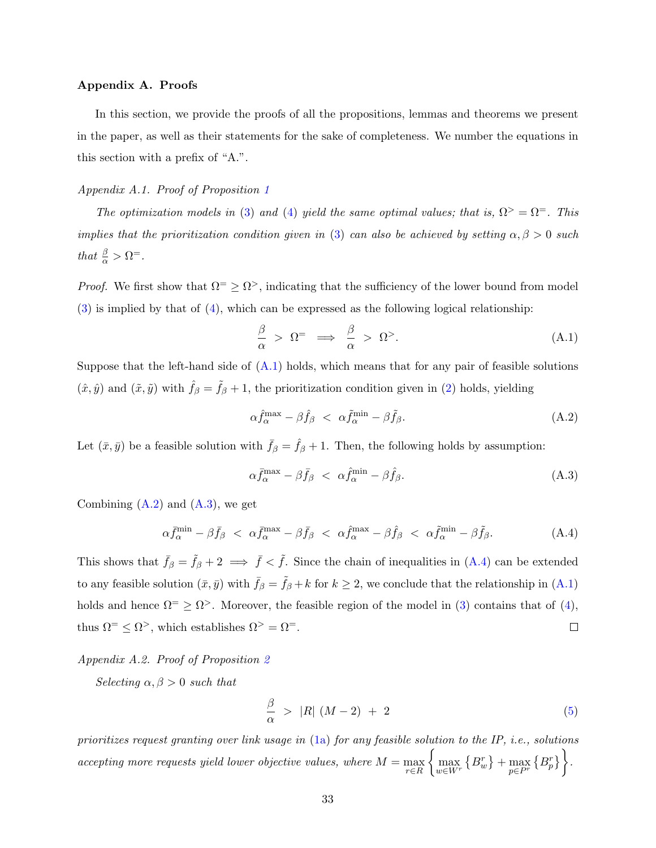## Appendix A. Proofs

In this section, we provide the proofs of all the propositions, lemmas and theorems we present in the paper, as well as their statements for the sake of completeness. We number the equations in this section with a prefix of "A.".

# <span id="page-32-0"></span>Appendix A.1. Proof of Proposition [1](#page-11-2)

The optimization models in [\(3\)](#page-11-0) and [\(4\)](#page-11-1) yield the same optimal values; that is,  $\Omega^> = \Omega^-$ . This implies that the prioritization condition given in [\(3\)](#page-11-0) can also be achieved by setting  $\alpha, \beta > 0$  such that  $\frac{\beta}{\alpha} > \Omega^=$ .

*Proof.* We first show that  $\Omega^{\pm} \geq \Omega^{\geq}$ , indicating that the sufficiency of the lower bound from model  $(3)$  is implied by that of  $(4)$ , which can be expressed as the following logical relationship:

<span id="page-32-2"></span>
$$
\frac{\beta}{\alpha} > \Omega^= \implies \frac{\beta}{\alpha} > \Omega^>.
$$
\n(A.1)

Suppose that the left-hand side of  $(A.1)$  holds, which means that for any pair of feasible solutions  $(\hat{x}, \hat{y})$  and  $(\tilde{x}, \tilde{y})$  with  $\hat{f}_{\beta} = \tilde{f}_{\beta} + 1$ , the prioritization condition given in [\(2\)](#page-11-3) holds, yielding

<span id="page-32-3"></span>
$$
\alpha \hat{f}_{\alpha}^{\max} - \beta \hat{f}_{\beta} < \alpha \tilde{f}_{\alpha}^{\min} - \beta \tilde{f}_{\beta}.\tag{A.2}
$$

Let  $(\bar{x}, \bar{y})$  be a feasible solution with  $\bar{f}_{\beta} = \hat{f}_{\beta} + 1$ . Then, the following holds by assumption:

<span id="page-32-5"></span><span id="page-32-4"></span>
$$
\alpha \bar{f}_{\alpha}^{\max} - \beta \bar{f}_{\beta} < \alpha \hat{f}_{\alpha}^{\min} - \beta \hat{f}_{\beta}.\tag{A.3}
$$

Combining  $(A.2)$  and  $(A.3)$ , we get

$$
\alpha \bar{f}_{\alpha}^{\min} - \beta \bar{f}_{\beta} < \alpha \bar{f}_{\alpha}^{\max} - \beta \bar{f}_{\beta} < \alpha \hat{f}_{\alpha}^{\max} - \beta \hat{f}_{\beta} < \alpha \tilde{f}_{\alpha}^{\min} - \beta \tilde{f}_{\beta}.\tag{A.4}
$$

This shows that  $\bar{f}_{\beta} = \tilde{f}_{\beta} + 2 \implies \bar{f} < \tilde{f}$ . Since the chain of inequalities in [\(A.4\)](#page-32-5) can be extended to any feasible solution  $(\bar{x}, \bar{y})$  with  $\bar{f}_{\beta} = \tilde{f}_{\beta} + k$  for  $k \geq 2$ , we conclude that the relationship in  $(A.1)$ holds and hence  $\Omega^{\pm} \geq \Omega^{\pm}$ . Moreover, the feasible region of the model in [\(3\)](#page-11-0) contains that of [\(4\)](#page-11-1), thus  $\Omega$ <sup>=</sup>  $\leq \Omega$ <sup>></sup>, which establishes  $\Omega$ <sup>></sup> =  $\Omega$ <sup>=</sup>.  $\Box$ 

# <span id="page-32-1"></span>Appendix A.2. Proof of Proposition [2](#page-12-0)

Selecting  $\alpha, \beta > 0$  such that

$$
\frac{\beta}{\alpha} > |R| (M-2) + 2 \tag{5}
$$

prioritizes request granting over link usage in [\(1a\)](#page-10-7) for any feasible solution to the IP, i.e., solutions accepting more requests yield lower objective values, where  $M = \max_{r \in R}$  $\left\{\max_{w\in W^r}\left\{B^r_w\right\}+\max_{p\in P^r}\left\{B^r_p\right\}\right\}.$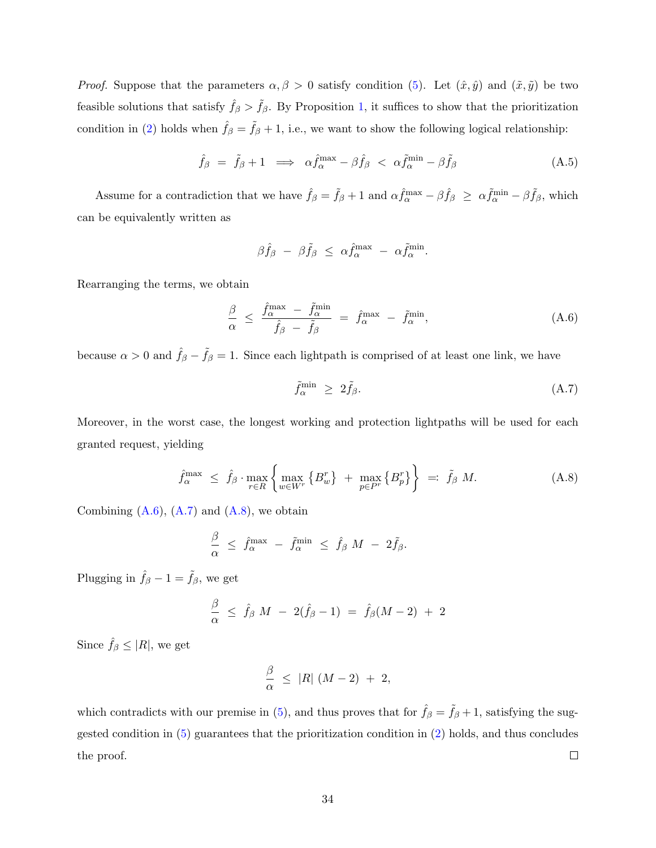*Proof.* Suppose that the parameters  $\alpha, \beta > 0$  satisfy condition [\(5\)](#page-12-1). Let  $(\hat{x}, \hat{y})$  and  $(\tilde{x}, \tilde{y})$  be two feasible solutions that satisfy  $\hat{f}_{\beta} > \tilde{f}_{\beta}$ . By Proposition [1,](#page-11-2) it suffices to show that the prioritization condition in [\(2\)](#page-11-3) holds when  $\hat{f}_{\beta} = \tilde{f}_{\beta} + 1$ , i.e., we want to show the following logical relationship:

$$
\hat{f}_{\beta} = \tilde{f}_{\beta} + 1 \implies \alpha \hat{f}_{\alpha}^{\max} - \beta \hat{f}_{\beta} < \alpha \tilde{f}_{\alpha}^{\min} - \beta \tilde{f}_{\beta} \tag{A.5}
$$

Assume for a contradiction that we have  $\hat{f}_{\beta} = \tilde{f}_{\beta} + 1$  and  $\alpha \hat{f}_{\alpha}^{\max} - \beta \hat{f}_{\beta} \geq \alpha \tilde{f}_{\alpha}^{\min} - \beta \tilde{f}_{\beta}$ , which can be equivalently written as

$$
\beta \hat{f}_{\beta} - \beta \tilde{f}_{\beta} \leq \alpha \hat{f}_{\alpha}^{\max} - \alpha \tilde{f}_{\alpha}^{\min}.
$$

Rearranging the terms, we obtain

$$
\frac{\beta}{\alpha} \le \frac{\hat{f}_{\alpha}^{\max} - \tilde{f}_{\alpha}^{\min}}{\hat{f}_{\beta} - \tilde{f}_{\beta}} = \hat{f}_{\alpha}^{\max} - \tilde{f}_{\alpha}^{\min}, \tag{A.6}
$$

because  $\alpha > 0$  and  $\hat{f}_{\beta} - \tilde{f}_{\beta} = 1$ . Since each lightpath is comprised of at least one link, we have

<span id="page-33-2"></span><span id="page-33-1"></span><span id="page-33-0"></span>
$$
\tilde{f}_{\alpha}^{\min} \ge 2\tilde{f}_{\beta}.\tag{A.7}
$$

Moreover, in the worst case, the longest working and protection lightpaths will be used for each granted request, yielding

$$
\hat{f}_{\alpha}^{\max} \leq \hat{f}_{\beta} \cdot \max_{r \in R} \left\{ \max_{w \in W^r} \left\{ B_w^r \right\} + \max_{p \in P^r} \left\{ B_p^r \right\} \right\} =: \tilde{f}_{\beta} M. \tag{A.8}
$$

Combining  $(A.6)$ ,  $(A.7)$  and  $(A.8)$ , we obtain

$$
\frac{\beta}{\alpha} \;\leq\; \hat{f}^{\max}_{\alpha} \;-\; \tilde{f}^{\min}_{\alpha} \;\leq\; \hat{f}_{\beta}\; M \;-\; 2 \tilde{f}_{\beta}.
$$

Plugging in  $\hat{f}_{\beta} - 1 = \tilde{f}_{\beta}$ , we get

$$
\frac{\beta}{\alpha} \;\leq\; \hat{f}_{\beta}\;M \;-\; 2(\hat{f}_{\beta} - 1) \;=\; \hat{f}_{\beta}(M - 2) \;+\; 2
$$

Since  $\hat{f}_{\beta} \leq |R|$ , we get

$$
\frac{\beta}{\alpha} \leq |R| (M-2) + 2,
$$

which contradicts with our premise in [\(5\)](#page-12-1), and thus proves that for  $\hat{f}_{\beta} = \tilde{f}_{\beta} + 1$ , satisfying the suggested condition in [\(5\)](#page-12-1) guarantees that the prioritization condition in [\(2\)](#page-11-3) holds, and thus concludes  $\Box$ the proof.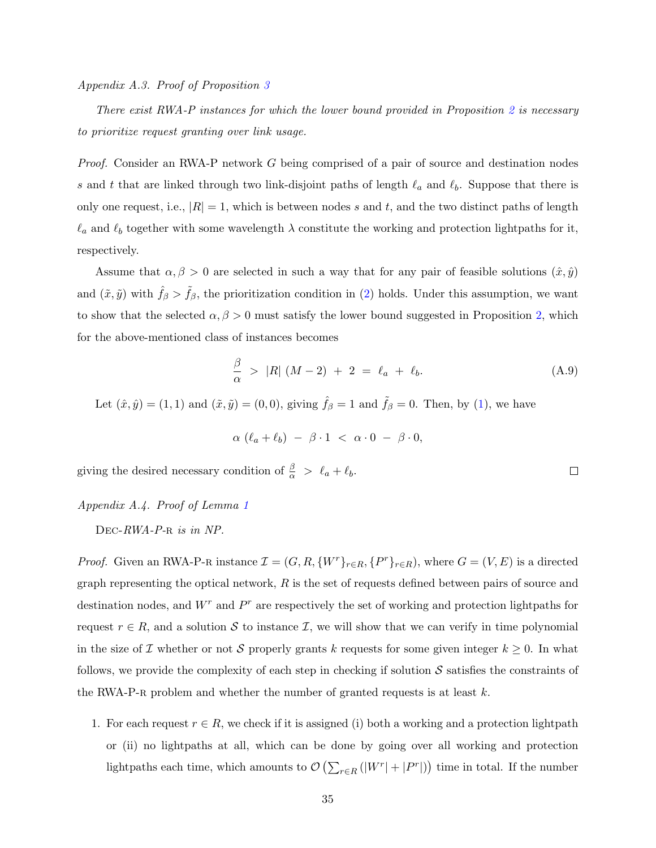<span id="page-34-0"></span>Appendix A.3. Proof of Proposition [3](#page-12-2)

There exist RWA-P instances for which the lower bound provided in Proposition [2](#page-12-0) is necessary to prioritize request granting over link usage.

Proof. Consider an RWA-P network G being comprised of a pair of source and destination nodes s and t that are linked through two link-disjoint paths of length  $\ell_a$  and  $\ell_b$ . Suppose that there is only one request, i.e.,  $|R| = 1$ , which is between nodes s and t, and the two distinct paths of length  $\ell_a$  and  $\ell_b$  together with some wavelength  $\lambda$  constitute the working and protection lightpaths for it, respectively.

Assume that  $\alpha, \beta > 0$  are selected in such a way that for any pair of feasible solutions  $(\hat{x}, \hat{y})$ and  $(\tilde{x}, \tilde{y})$  with  $\tilde{f}_{\beta} > f_{\beta}$ , the prioritization condition in [\(2\)](#page-11-3) holds. Under this assumption, we want to show that the selected  $\alpha, \beta > 0$  must satisfy the lower bound suggested in Proposition [2,](#page-12-0) which for the above-mentioned class of instances becomes

$$
\frac{\beta}{\alpha} > |R| (M-2) + 2 = \ell_a + \ell_b. \tag{A.9}
$$

 $\Box$ 

Let  $(\hat{x}, \hat{y}) = (1, 1)$  and  $(\tilde{x}, \tilde{y}) = (0, 0)$ , giving  $\hat{f}_{\beta} = 1$  and  $\tilde{f}_{\beta} = 0$ . Then, by [\(1\)](#page-11-4), we have

$$
\alpha \, (\ell_a + \ell_b) \ - \ \beta \cdot 1 \ < \ \alpha \cdot 0 \ - \ \beta \cdot 0,
$$

giving the desired necessary condition of  $\frac{\beta}{\alpha} > \ell_a + \ell_b$ .

# <span id="page-34-1"></span>Appendix A.4. Proof of Lemma [1](#page-13-3)

DEC-RWA-P-R is in NP.

*Proof.* Given an RWA-P-R instance  $\mathcal{I} = (G, R, \{W^r\}_{r \in R}, \{P^r\}_{r \in R})$ , where  $G = (V, E)$  is a directed graph representing the optical network,  $R$  is the set of requests defined between pairs of source and destination nodes, and  $W^r$  and  $P^r$  are respectively the set of working and protection lightpaths for request  $r \in R$ , and a solution S to instance I, we will show that we can verify in time polynomial in the size of  $\mathcal I$  whether or not  $\mathcal S$  properly grants k requests for some given integer  $k \geq 0$ . In what follows, we provide the complexity of each step in checking if solution  $\mathcal S$  satisfies the constraints of the RWA-P-R problem and whether the number of granted requests is at least  $k$ .

1. For each request  $r \in R$ , we check if it is assigned (i) both a working and a protection lightpath or (ii) no lightpaths at all, which can be done by going over all working and protection lightpaths each time, which amounts to  $\mathcal{O}\left(\sum_{r \in R}(|W^r| + |P^r|)\right)$  time in total. If the number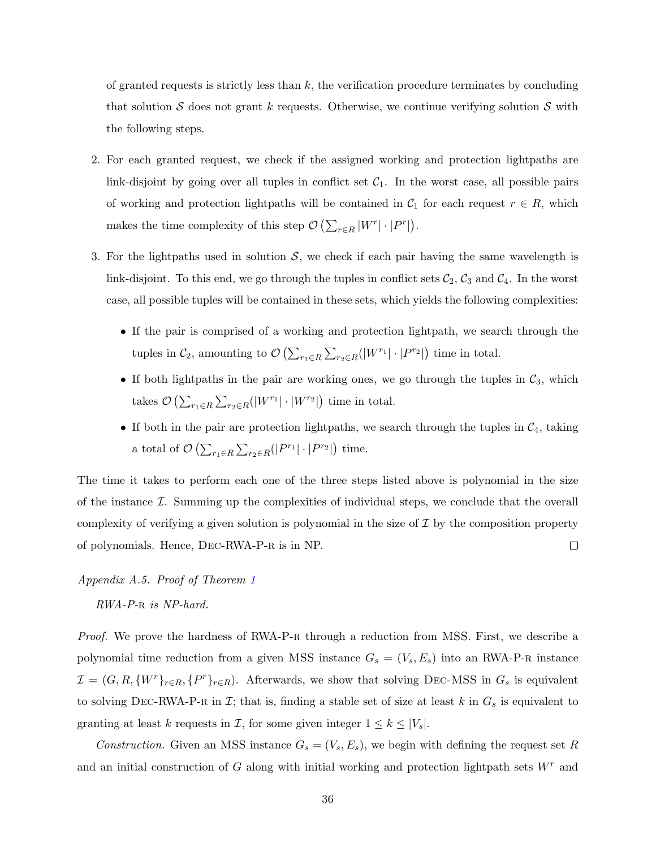of granted requests is strictly less than  $k$ , the verification procedure terminates by concluding that solution S does not grant k requests. Otherwise, we continue verifying solution S with the following steps.

- 2. For each granted request, we check if the assigned working and protection lightpaths are link-disjoint by going over all tuples in conflict set  $C_1$ . In the worst case, all possible pairs of working and protection lightpaths will be contained in  $C_1$  for each request  $r \in R$ , which makes the time complexity of this step  $\mathcal{O}\left(\sum_{r\in R}|W^{r}|\cdot|P^{r}|\right)$ .
- 3. For the lightpaths used in solution  $S$ , we check if each pair having the same wavelength is link-disjoint. To this end, we go through the tuples in conflict sets  $C_2$ ,  $C_3$  and  $C_4$ . In the worst case, all possible tuples will be contained in these sets, which yields the following complexities:
	- If the pair is comprised of a working and protection lightpath, we search through the tuples in  $C_2$ , amounting to  $\mathcal{O}\left(\sum_{r_1 \in R} \sum_{r_2 \in R} (|W^{r_1}| \cdot |P^{r_2}|\right)$  time in total.
	- If both lightpaths in the pair are working ones, we go through the tuples in  $C_3$ , which takes  $\mathcal{O}\left(\sum_{r_1 \in R} \sum_{r_2 \in R} (|W^{r_1}| \cdot |W^{r_2}|\right)$  time in total.
	- If both in the pair are protection lightpaths, we search through the tuples in  $C_4$ , taking a total of  $\mathcal{O}\left(\sum_{r_1 \in R} \sum_{r_2 \in R} (|P^{r_1}| \cdot |P^{r_2}|) \right)$  time.

The time it takes to perform each one of the three steps listed above is polynomial in the size of the instance  $\mathcal I$ . Summing up the complexities of individual steps, we conclude that the overall complexity of verifying a given solution is polynomial in the size of  $\mathcal I$  by the composition property of polynomials. Hence, Dec-RWA-P-r is in NP.  $\Box$ 

# <span id="page-35-0"></span>Appendix A.5. Proof of Theorem [1](#page-14-2)

RWA-P-R is NP-hard.

Proof. We prove the hardness of RWA-P-R through a reduction from MSS. First, we describe a polynomial time reduction from a given MSS instance  $G_s = (V_s, E_s)$  into an RWA-P-R instance  $\mathcal{I} = (G, R, \{W^r\}_{r \in R}, \{P^r\}_{r \in R})$ . Afterwards, we show that solving DEC-MSS in  $G_s$  is equivalent to solving DEC-RWA-P-R in  $\mathcal{I}$ ; that is, finding a stable set of size at least k in  $G_s$  is equivalent to granting at least k requests in  $\mathcal{I}$ , for some given integer  $1 \leq k \leq |V_s|$ .

Construction. Given an MSS instance  $G_s = (V_s, E_s)$ , we begin with defining the request set R and an initial construction of G along with initial working and protection lightpath sets  $W<sup>r</sup>$  and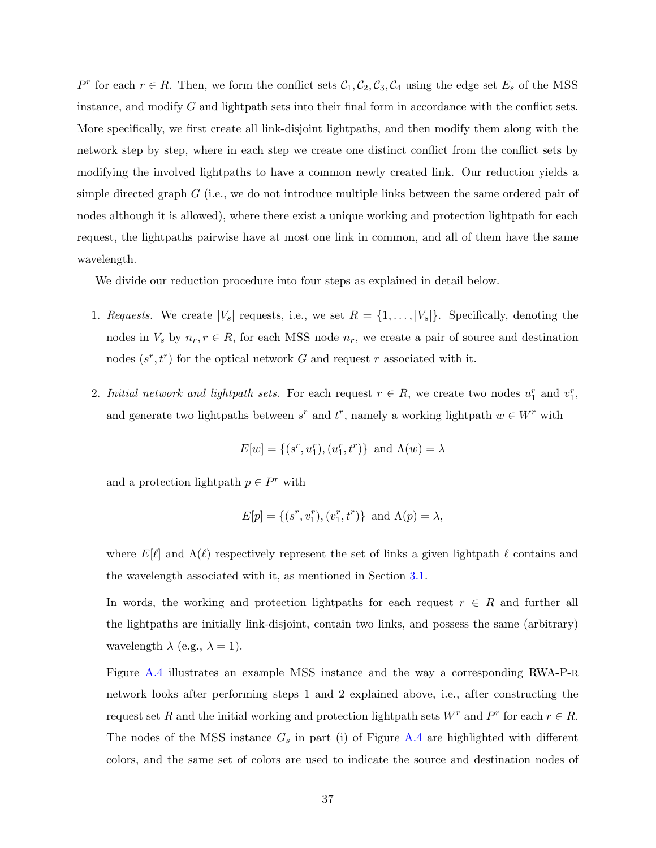P<sup>r</sup> for each  $r \in R$ . Then, we form the conflict sets  $C_1, C_2, C_3, C_4$  using the edge set  $E_s$  of the MSS instance, and modify G and lightpath sets into their final form in accordance with the conflict sets. More specifically, we first create all link-disjoint lightpaths, and then modify them along with the network step by step, where in each step we create one distinct conflict from the conflict sets by modifying the involved lightpaths to have a common newly created link. Our reduction yields a simple directed graph G (i.e., we do not introduce multiple links between the same ordered pair of nodes although it is allowed), where there exist a unique working and protection lightpath for each request, the lightpaths pairwise have at most one link in common, and all of them have the same wavelength.

We divide our reduction procedure into four steps as explained in detail below.

- 1. Requests. We create  $|V_s|$  requests, i.e., we set  $R = \{1, \ldots, |V_s|\}$ . Specifically, denoting the nodes in  $V_s$  by  $n_r, r \in R$ , for each MSS node  $n_r$ , we create a pair of source and destination nodes  $(s^r, t^r)$  for the optical network G and request r associated with it.
- 2. Initial network and lightpath sets. For each request  $r \in R$ , we create two nodes  $u_1^r$  and  $v_1^r$ , and generate two lightpaths between  $s^r$  and  $t^r$ , namely a working lightpath  $w \in W^r$  with

$$
E[w] = \{(s^r, u_1^r), (u_1^r, t^r)\} \text{ and } \Lambda(w) = \lambda
$$

and a protection lightpath  $p \in P^r$  with

$$
E[p] = \{(s^r, v_1^r), (v_1^r, t^r)\} \text{ and } \Lambda(p) = \lambda,
$$

where  $E[\ell]$  and  $\Lambda(\ell)$  respectively represent the set of links a given lightpath  $\ell$  contains and the wavelength associated with it, as mentioned in Section [3.1.](#page-7-1)

In words, the working and protection lightpaths for each request  $r \in R$  and further all the lightpaths are initially link-disjoint, contain two links, and possess the same (arbitrary) wavelength  $\lambda$  (e.g.,  $\lambda = 1$ ).

Figure [A.4](#page-37-0) illustrates an example MSS instance and the way a corresponding RWA-P-R network looks after performing steps 1 and 2 explained above, i.e., after constructing the request set R and the initial working and protection lightpath sets  $W^r$  and  $P^r$  for each  $r \in R$ . The nodes of the MSS instance  $G_s$  in part (i) of Figure [A.4](#page-37-0) are highlighted with different colors, and the same set of colors are used to indicate the source and destination nodes of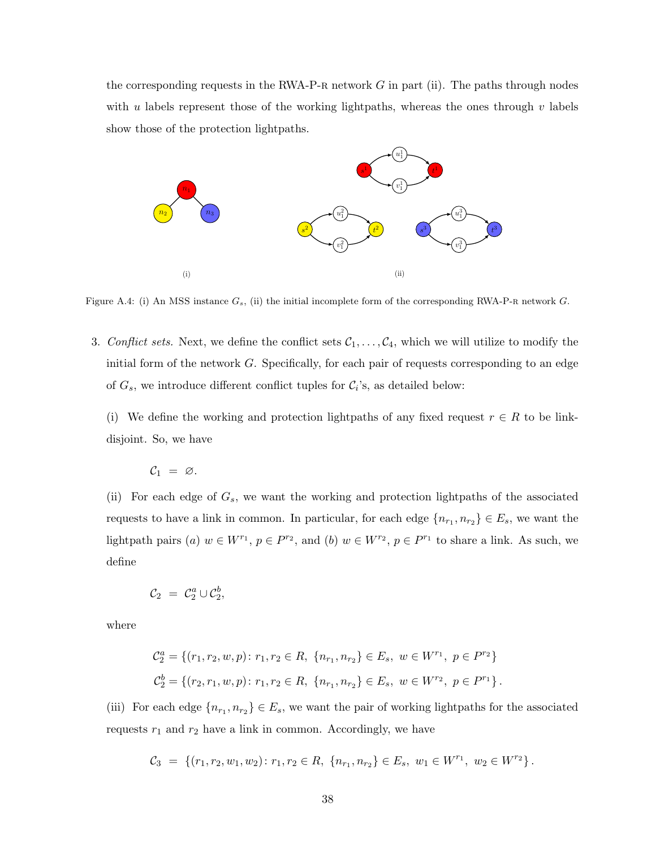the corresponding requests in the RWA-P-R network  $G$  in part (ii). The paths through nodes with u labels represent those of the working lightpaths, whereas the ones through v labels show those of the protection lightpaths.

<span id="page-37-0"></span>

Figure A.4: (i) An MSS instance  $G_s$ , (ii) the initial incomplete form of the corresponding RWA-P-R network  $G$ .

3. Conflict sets. Next, we define the conflict sets  $C_1, \ldots, C_4$ , which we will utilize to modify the initial form of the network G. Specifically, for each pair of requests corresponding to an edge of  $G_s$ , we introduce different conflict tuples for  $C_i$ 's, as detailed below:

(i) We define the working and protection lightpaths of any fixed request  $r \in R$  to be linkdisjoint. So, we have

$$
\mathcal{C}_1 = \varnothing.
$$

(ii) For each edge of  $G_s$ , we want the working and protection lightpaths of the associated requests to have a link in common. In particular, for each edge  $\{n_{r_1}, n_{r_2}\} \in E_s$ , we want the lightpath pairs (a)  $w \in W^{r_1}$ ,  $p \in P^{r_2}$ , and (b)  $w \in W^{r_2}$ ,  $p \in P^{r_1}$  to share a link. As such, we define

$$
\mathcal{C}_2 = \mathcal{C}_2^a \cup \mathcal{C}_2^b,
$$

where

$$
\mathcal{C}_2^a = \{ (r_1, r_2, w, p) \colon r_1, r_2 \in R, \{n_{r_1}, n_{r_2}\} \in E_s, w \in W^{r_1}, p \in P^{r_2} \}
$$
  

$$
\mathcal{C}_2^b = \{ (r_2, r_1, w, p) \colon r_1, r_2 \in R, \{n_{r_1}, n_{r_2}\} \in E_s, w \in W^{r_2}, p \in P^{r_1} \}.
$$

(iii) For each edge  $\{n_{r_1}, n_{r_2}\} \in E_s$ , we want the pair of working lightpaths for the associated requests  $r_1$  and  $r_2$  have a link in common. Accordingly, we have

$$
C_3 = \{ (r_1, r_2, w_1, w_2) : r_1, r_2 \in R, \{n_{r_1}, n_{r_2}\} \in E_s, w_1 \in W^{r_1}, w_2 \in W^{r_2} \}.
$$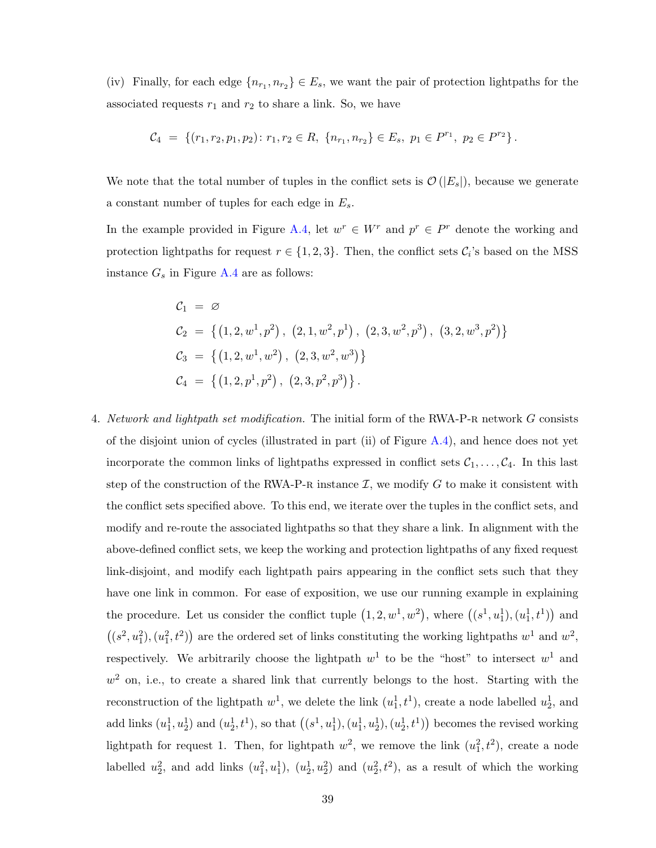(iv) Finally, for each edge  $\{n_{r_1}, n_{r_2}\} \in E_s$ , we want the pair of protection lightpaths for the associated requests  $r_1$  and  $r_2$  to share a link. So, we have

$$
C_4 = \{ (r_1, r_2, p_1, p_2) \colon r_1, r_2 \in R, \ \{n_{r_1}, n_{r_2}\} \in E_s, \ p_1 \in P^{r_1}, \ p_2 \in P^{r_2} \}.
$$

We note that the total number of tuples in the conflict sets is  $\mathcal{O}(|E_s|)$ , because we generate a constant number of tuples for each edge in  $E_s$ .

In the example provided in Figure [A.4,](#page-37-0) let  $w^r \in W^r$  and  $p^r \in P^r$  denote the working and protection lightpaths for request  $r \in \{1, 2, 3\}$ . Then, the conflict sets  $\mathcal{C}_i$ 's based on the MSS instance  $G_s$  in Figure [A.4](#page-37-0) are as follows:

$$
C_1 = \varnothing
$$
  
\n
$$
C_2 = \{ (1, 2, w^1, p^2), (2, 1, w^2, p^1), (2, 3, w^2, p^3), (3, 2, w^3, p^2) \}
$$
  
\n
$$
C_3 = \{ (1, 2, w^1, w^2), (2, 3, w^2, w^3) \}
$$
  
\n
$$
C_4 = \{ (1, 2, p^1, p^2), (2, 3, p^2, p^3) \}.
$$

4. Network and lightpath set modification. The initial form of the RWA-P-R network G consists of the disjoint union of cycles (illustrated in part (ii) of Figure [A.4\)](#page-37-0), and hence does not yet incorporate the common links of lightpaths expressed in conflict sets  $C_1, \ldots, C_4$ . In this last step of the construction of the RWA-P-R instance  $\mathcal{I}$ , we modify  $G$  to make it consistent with the conflict sets specified above. To this end, we iterate over the tuples in the conflict sets, and modify and re-route the associated lightpaths so that they share a link. In alignment with the above-defined conflict sets, we keep the working and protection lightpaths of any fixed request link-disjoint, and modify each lightpath pairs appearing in the conflict sets such that they have one link in common. For ease of exposition, we use our running example in explaining the procedure. Let us consider the conflict tuple  $(1, 2, w<sup>1</sup>, w<sup>2</sup>)$ , where  $((s<sup>1</sup>, u<sub>1</sub><sup>1</sup>), (u<sub>1</sub><sup>1</sup>, t<sup>1</sup>))$  and  $((s^2, u_1^2), (u_1^2, t^2))$  are the ordered set of links constituting the working lightpaths  $w^1$  and  $w^2$ , respectively. We arbitrarily choose the lightpath  $w<sup>1</sup>$  to be the "host" to intersect  $w<sup>1</sup>$  and  $w<sup>2</sup>$  on, i.e., to create a shared link that currently belongs to the host. Starting with the reconstruction of the lightpath  $w^1$ , we delete the link  $(u_1^1, t^1)$ , create a node labelled  $u_2^1$ , and add links  $(u_1^1, u_2^1)$  and  $(u_2^1, t^1)$ , so that  $((s^1, u_1^1), (u_1^1, u_2^1), (u_2^1, t^1))$  becomes the revised working lightpath for request 1. Then, for lightpath  $w^2$ , we remove the link  $(u_1^2, t^2)$ , create a node labelled  $u_2^2$ , and add links  $(u_1^2, u_1^1)$ ,  $(u_2^1, u_2^2)$  and  $(u_2^2, t^2)$ , as a result of which the working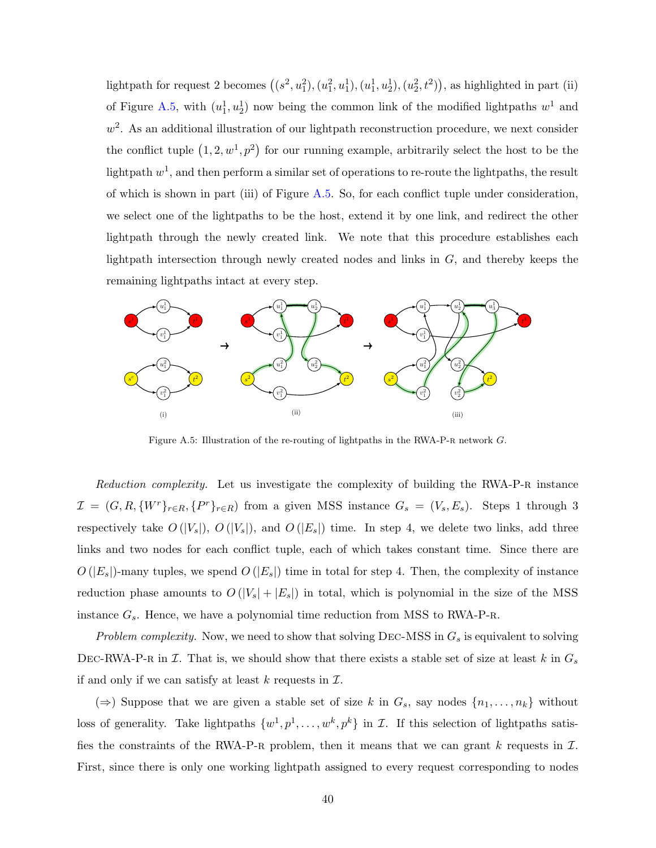lightpath for request 2 becomes  $((s^2, u_1^2), (u_1^2, u_1^1), (u_1^1, u_2^1), (u_2^2, t^2))$ , as highlighted in part (ii) of Figure [A.5,](#page-39-0) with  $(u_1^1, u_2^1)$  now being the common link of the modified lightpaths  $w^1$  and  $w^2$ . As an additional illustration of our lightpath reconstruction procedure, we next consider the conflict tuple  $(1, 2, w<sup>1</sup>, p<sup>2</sup>)$  for our running example, arbitrarily select the host to be the lightpath  $w^1$ , and then perform a similar set of operations to re-route the lightpaths, the result of which is shown in part (iii) of Figure [A.5.](#page-39-0) So, for each conflict tuple under consideration, we select one of the lightpaths to be the host, extend it by one link, and redirect the other lightpath through the newly created link. We note that this procedure establishes each lightpath intersection through newly created nodes and links in  $G$ , and thereby keeps the remaining lightpaths intact at every step.

<span id="page-39-0"></span>

Figure A.5: Illustration of the re-routing of lightpaths in the RWA-P-R network  $G$ .

Reduction complexity. Let us investigate the complexity of building the RWA-P-R instance  $\mathcal{I} = (G, R, \{W^r\}_{r \in R}, \{P^r\}_{r \in R})$  from a given MSS instance  $G_s = (V_s, E_s)$ . Steps 1 through 3 respectively take  $O(|V_s|)$ ,  $O(|V_s|)$ , and  $O(|E_s|)$  time. In step 4, we delete two links, add three links and two nodes for each conflict tuple, each of which takes constant time. Since there are  $O(|E_s|)$ -many tuples, we spend  $O(|E_s|)$  time in total for step 4. Then, the complexity of instance reduction phase amounts to  $O(|V_s| + |E_s|)$  in total, which is polynomial in the size of the MSS instance  $G_s$ . Hence, we have a polynomial time reduction from MSS to RWA-P-R.

Problem complexity. Now, we need to show that solving DEC-MSS in  $G_s$  is equivalent to solving DEC-RWA-P-R in  $\mathcal I$ . That is, we should show that there exists a stable set of size at least k in  $G_s$ if and only if we can satisfy at least  $k$  requests in  $\mathcal{I}$ .

(⇒) Suppose that we are given a stable set of size k in  $G_s$ , say nodes  $\{n_1, \ldots, n_k\}$  without loss of generality. Take lightpaths  $\{w^1, p^1, \ldots, w^k, p^k\}$  in  $\mathcal{I}$ . If this selection of lightpaths satisfies the constraints of the RWA-P-R problem, then it means that we can grant k requests in  $\mathcal{I}$ . First, since there is only one working lightpath assigned to every request corresponding to nodes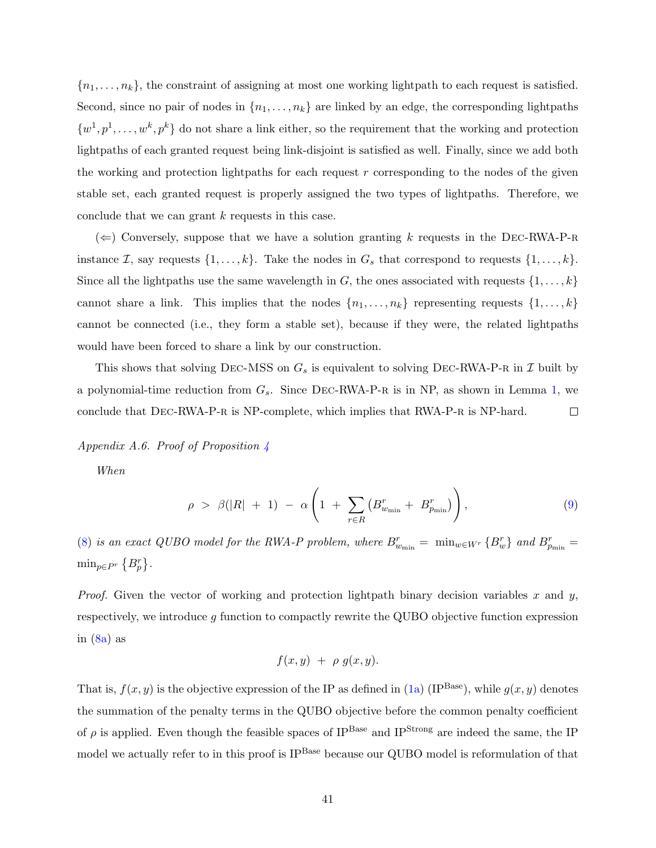${n_1, \ldots, n_k}$ , the constraint of assigning at most one working lightpath to each request is satisfied. Second, since no pair of nodes in  $\{n_1, \ldots, n_k\}$  are linked by an edge, the corresponding lightpaths  $\{w^1, p^1, \ldots, w^k, p^k\}$  do not share a link either, so the requirement that the working and protection lightpaths of each granted request being link-disjoint is satisfied as well. Finally, since we add both the working and protection lightpaths for each request  $r$  corresponding to the nodes of the given stable set, each granted request is properly assigned the two types of lightpaths. Therefore, we conclude that we can grant k requests in this case.

 $(\Leftarrow)$  Conversely, suppose that we have a solution granting k requests in the DEC-RWA-P-R instance *I*, say requests  $\{1, \ldots, k\}$ . Take the nodes in  $G_s$  that correspond to requests  $\{1, \ldots, k\}$ . Since all the lightpaths use the same wavelength in G, the ones associated with requests  $\{1, \ldots, k\}$ cannot share a link. This implies that the nodes  $\{n_1, \ldots, n_k\}$  representing requests  $\{1, \ldots, k\}$ cannot be connected (i.e., they form a stable set), because if they were, the related lightpaths would have been forced to share a link by our construction.

This shows that solving DEC-MSS on  $G_s$  is equivalent to solving DEC-RWA-P-R in  $\mathcal I$  built by a polynomial-time reduction from  $G_s$ . Since DEC-RWA-P-R is in NP, as shown in Lemma [1,](#page-13-3) we conclude that DEC-RWA-P-R is NP-complete, which implies that RWA-P-R is NP-hard.  $\Box$ 

<span id="page-40-0"></span>Appendix A.6. Proof of Proposition  $\angle$ 

When

$$
\rho > \beta(|R| + 1) - \alpha \left( 1 + \sum_{r \in R} \left( B_{w_{\min}}^r + B_{p_{\min}}^r \right) \right), \tag{9}
$$

[\(8\)](#page-16-0) is an exact QUBO model for the RWA-P problem, where  $B_{w_{\min}}^r = \min_{w \in W^r} \{B_w^r\}$  and  $B_{p_{\min}}^r =$  $\min_{p \in P^r} \{B_p^r\}.$ 

*Proof.* Given the vector of working and protection lightpath binary decision variables x and y, respectively, we introduce  $g$  function to compactly rewrite the QUBO objective function expression in  $(8a)$  as

$$
f(x,y) + \rho g(x,y).
$$

That is,  $f(x, y)$  is the objective expression of the IP as defined in [\(1a\)](#page-10-7) (IP<sup>Base</sup>), while  $g(x, y)$  denotes the summation of the penalty terms in the QUBO objective before the common penalty coefficient of  $\rho$  is applied. Even though the feasible spaces of IP<sup>Base</sup> and IP<sup>Strong</sup> are indeed the same, the IP model we actually refer to in this proof is IP<sup>Base</sup> because our QUBO model is reformulation of that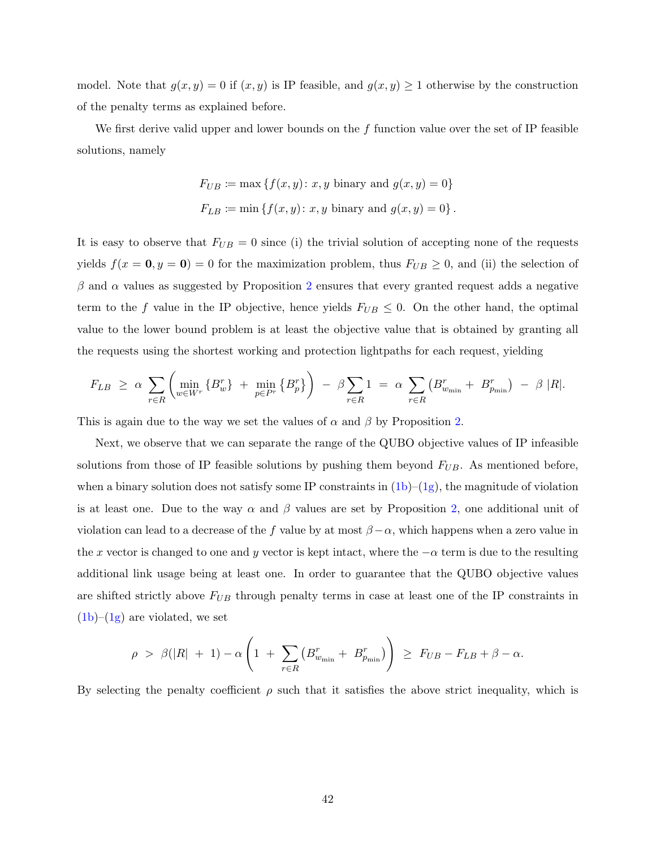model. Note that  $g(x, y) = 0$  if  $(x, y)$  is IP feasible, and  $g(x, y) \ge 1$  otherwise by the construction of the penalty terms as explained before.

We first derive valid upper and lower bounds on the  $f$  function value over the set of IP feasible solutions, namely

$$
F_{UB} := \max \{ f(x, y) : x, y \text{ binary and } g(x, y) = 0 \}
$$
  

$$
F_{LB} := \min \{ f(x, y) : x, y \text{ binary and } g(x, y) = 0 \}.
$$

It is easy to observe that  $F_{UB} = 0$  since (i) the trivial solution of accepting none of the requests yields  $f(x = 0, y = 0) = 0$  for the maximization problem, thus  $F_{UB} \ge 0$ , and (ii) the selection of  $\beta$  and  $\alpha$  values as suggested by Proposition [2](#page-12-0) ensures that every granted request adds a negative term to the f value in the IP objective, hence yields  $F_{UB} \leq 0$ . On the other hand, the optimal value to the lower bound problem is at least the objective value that is obtained by granting all the requests using the shortest working and protection lightpaths for each request, yielding

$$
F_{LB} \geq \alpha \sum_{r \in R} \left( \min_{w \in W^r} \{B_w^r\} + \min_{p \in P^r} \{B_p^r\} \right) - \beta \sum_{r \in R} 1 = \alpha \sum_{r \in R} \left( B_{w_{\min}}^r + B_{p_{\min}}^r \right) - \beta |R|.
$$

This is again due to the way we set the values of  $\alpha$  and  $\beta$  by Proposition [2.](#page-12-0)

Next, we observe that we can separate the range of the QUBO objective values of IP infeasible solutions from those of IP feasible solutions by pushing them beyond  $F_{UB}$ . As mentioned before, when a binary solution does not satisfy some IP constraints in  $(1b)-(1g)$  $(1b)-(1g)$  $(1b)-(1g)$ , the magnitude of violation is at least one. Due to the way  $\alpha$  and  $\beta$  values are set by Proposition [2,](#page-12-0) one additional unit of violation can lead to a decrease of the f value by at most  $\beta - \alpha$ , which happens when a zero value in the x vector is changed to one and y vector is kept intact, where the  $-\alpha$  term is due to the resulting additional link usage being at least one. In order to guarantee that the QUBO objective values are shifted strictly above  $F_{UB}$  through penalty terms in case at least one of the IP constraints in  $(1b)$ – $(1g)$  are violated, we set

$$
\rho > \beta(|R| + 1) - \alpha \left( 1 + \sum_{r \in R} \left( B_{w_{\min}}^r + B_{p_{\min}}^r \right) \right) \geq F_{UB} - F_{LB} + \beta - \alpha.
$$

By selecting the penalty coefficient  $\rho$  such that it satisfies the above strict inequality, which is